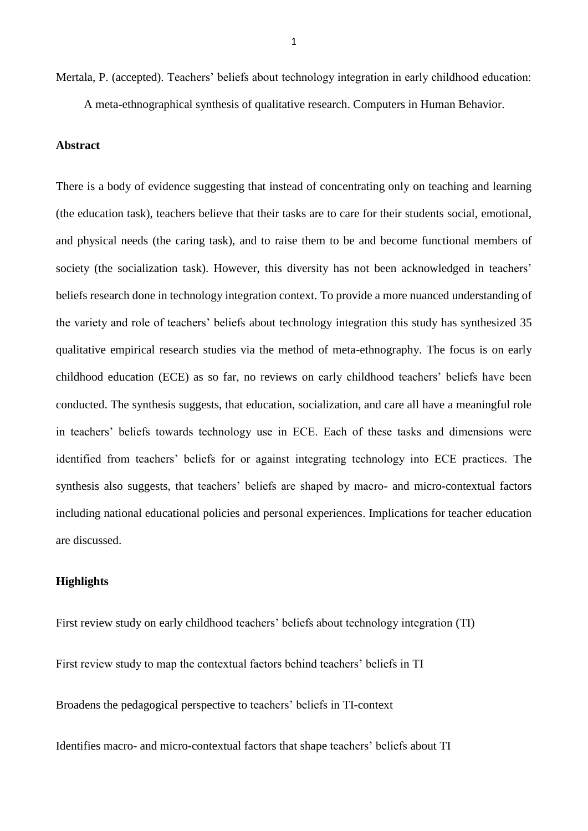Mertala, P. (accepted). Teachers' beliefs about technology integration in early childhood education: A meta-ethnographical synthesis of qualitative research. Computers in Human Behavior.

#### **Abstract**

There is a body of evidence suggesting that instead of concentrating only on teaching and learning (the education task), teachers believe that their tasks are to care for their students social, emotional, and physical needs (the caring task), and to raise them to be and become functional members of society (the socialization task). However, this diversity has not been acknowledged in teachers' beliefs research done in technology integration context. To provide a more nuanced understanding of the variety and role of teachers' beliefs about technology integration this study has synthesized 35 qualitative empirical research studies via the method of meta-ethnography. The focus is on early childhood education (ECE) as so far, no reviews on early childhood teachers' beliefs have been conducted. The synthesis suggests, that education, socialization, and care all have a meaningful role in teachers' beliefs towards technology use in ECE. Each of these tasks and dimensions were identified from teachers' beliefs for or against integrating technology into ECE practices. The synthesis also suggests, that teachers' beliefs are shaped by macro- and micro-contextual factors including national educational policies and personal experiences. Implications for teacher education are discussed.

#### **Highlights**

First review study on early childhood teachers' beliefs about technology integration (TI) First review study to map the contextual factors behind teachers' beliefs in TI Broadens the pedagogical perspective to teachers' beliefs in TI-context

Identifies macro- and micro-contextual factors that shape teachers' beliefs about TI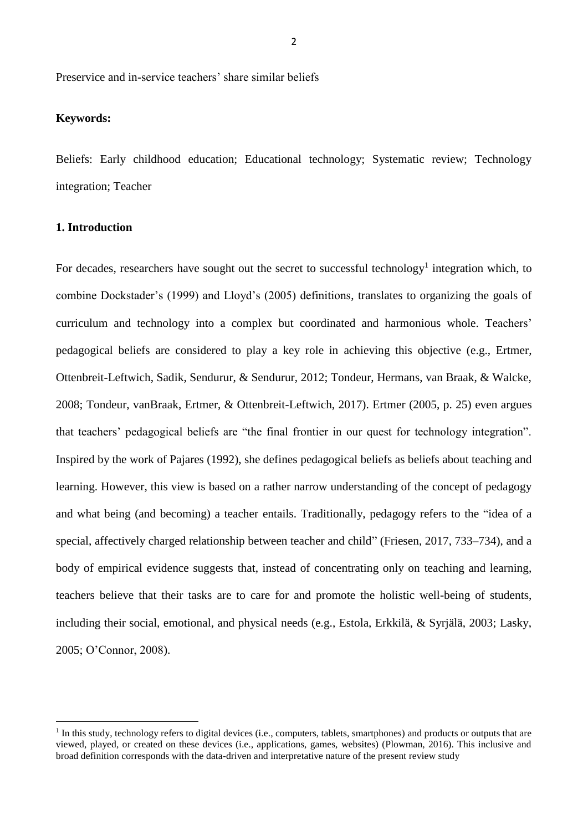Preservice and in-service teachers' share similar beliefs

# **Keywords:**

Beliefs: Early childhood education; Educational technology; Systematic review; Technology integration; Teacher

# **1. Introduction**

**.** 

For decades, researchers have sought out the secret to successful technology<sup>1</sup> integration which, to combine Dockstader's (1999) and Lloyd's (2005) definitions, translates to organizing the goals of curriculum and technology into a complex but coordinated and harmonious whole. Teachers' pedagogical beliefs are considered to play a key role in achieving this objective (e.g., Ertmer, Ottenbreit-Leftwich, Sadik, Sendurur, & Sendurur, 2012; Tondeur, Hermans, van Braak, & Walcke, 2008; Tondeur, vanBraak, Ertmer, & Ottenbreit-Leftwich, 2017). Ertmer (2005, p. 25) even argues that teachers' pedagogical beliefs are "the final frontier in our quest for technology integration". Inspired by the work of Pajares (1992), she defines pedagogical beliefs as beliefs about teaching and learning. However, this view is based on a rather narrow understanding of the concept of pedagogy and what being (and becoming) a teacher entails. Traditionally, pedagogy refers to the "idea of a special, affectively charged relationship between teacher and child" (Friesen, 2017, 733–734), and a body of empirical evidence suggests that, instead of concentrating only on teaching and learning, teachers believe that their tasks are to care for and promote the holistic well-being of students, including their social, emotional, and physical needs (e.g., Estola, Erkkilä, & Syrjälä, 2003; Lasky, 2005; O'Connor, 2008).

<sup>&</sup>lt;sup>1</sup> In this study, technology refers to digital devices (i.e., computers, tablets, smartphones) and products or outputs that are viewed, played, or created on these devices (i.e., applications, games, websites) (Plowman, 2016). This inclusive and broad definition corresponds with the data-driven and interpretative nature of the present review study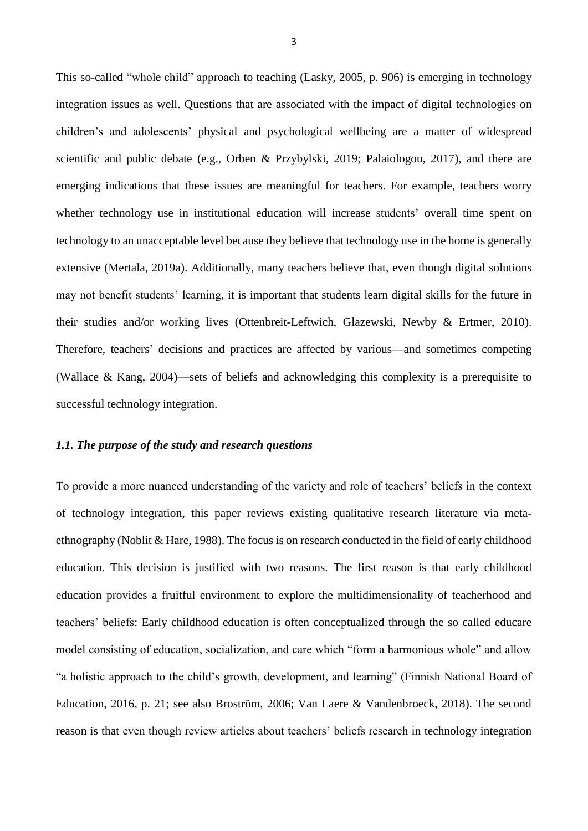This so-called "whole child" approach to teaching (Lasky, 2005, p. 906) is emerging in technology integration issues as well. Questions that are associated with the impact of digital technologies on children's and adolescents' physical and psychological wellbeing are a matter of widespread scientific and public debate (e.g., Orben & Przybylski, 2019; Palaiologou, 2017), and there are emerging indications that these issues are meaningful for teachers. For example, teachers worry whether technology use in institutional education will increase students' overall time spent on technology to an unacceptable level because they believe that technology use in the home is generally extensive (Mertala, 2019a). Additionally, many teachers believe that, even though digital solutions may not benefit students' learning, it is important that students learn digital skills for the future in their studies and/or working lives (Ottenbreit-Leftwich, Glazewski, Newby & Ertmer, 2010). Therefore, teachers' decisions and practices are affected by various—and sometimes competing (Wallace & Kang, 2004)—sets of beliefs and acknowledging this complexity is a prerequisite to successful technology integration.

#### *1.1. The purpose of the study and research questions*

To provide a more nuanced understanding of the variety and role of teachers' beliefs in the context of technology integration, this paper reviews existing qualitative research literature via metaethnography (Noblit & Hare, 1988). The focus is on research conducted in the field of early childhood education. This decision is justified with two reasons. The first reason is that early childhood education provides a fruitful environment to explore the multidimensionality of teacherhood and teachers' beliefs: Early childhood education is often conceptualized through the so called educare model consisting of education, socialization, and care which "form a harmonious whole" and allow "a holistic approach to the child's growth, development, and learning" (Finnish National Board of Education, 2016, p. 21; see also Broström, 2006; Van Laere & Vandenbroeck, 2018). The second reason is that even though review articles about teachers' beliefs research in technology integration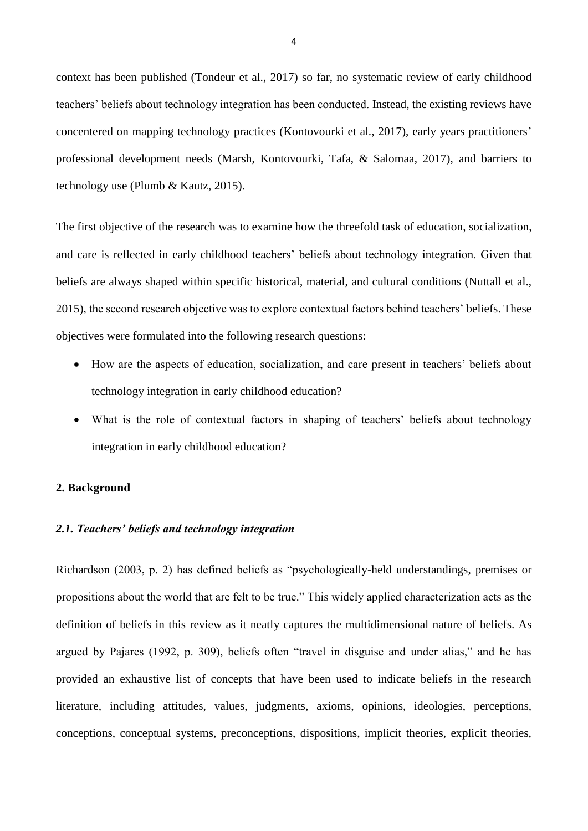context has been published (Tondeur et al., 2017) so far, no systematic review of early childhood teachers' beliefs about technology integration has been conducted. Instead, the existing reviews have concentered on mapping technology practices (Kontovourki et al., 2017), early years practitioners' professional development needs (Marsh, Kontovourki, Tafa, & Salomaa, 2017), and barriers to technology use (Plumb & Kautz, 2015).

The first objective of the research was to examine how the threefold task of education, socialization, and care is reflected in early childhood teachers' beliefs about technology integration. Given that beliefs are always shaped within specific historical, material, and cultural conditions (Nuttall et al., 2015), the second research objective was to explore contextual factors behind teachers' beliefs. These objectives were formulated into the following research questions:

- How are the aspects of education, socialization, and care present in teachers' beliefs about technology integration in early childhood education?
- What is the role of contextual factors in shaping of teachers' beliefs about technology integration in early childhood education?

#### **2. Background**

#### *2.1. Teachers' beliefs and technology integration*

Richardson (2003, p. 2) has defined beliefs as "psychologically-held understandings, premises or propositions about the world that are felt to be true." This widely applied characterization acts as the definition of beliefs in this review as it neatly captures the multidimensional nature of beliefs. As argued by Pajares (1992, p. 309), beliefs often "travel in disguise and under alias," and he has provided an exhaustive list of concepts that have been used to indicate beliefs in the research literature, including attitudes, values, judgments, axioms, opinions, ideologies, perceptions, conceptions, conceptual systems, preconceptions, dispositions, implicit theories, explicit theories,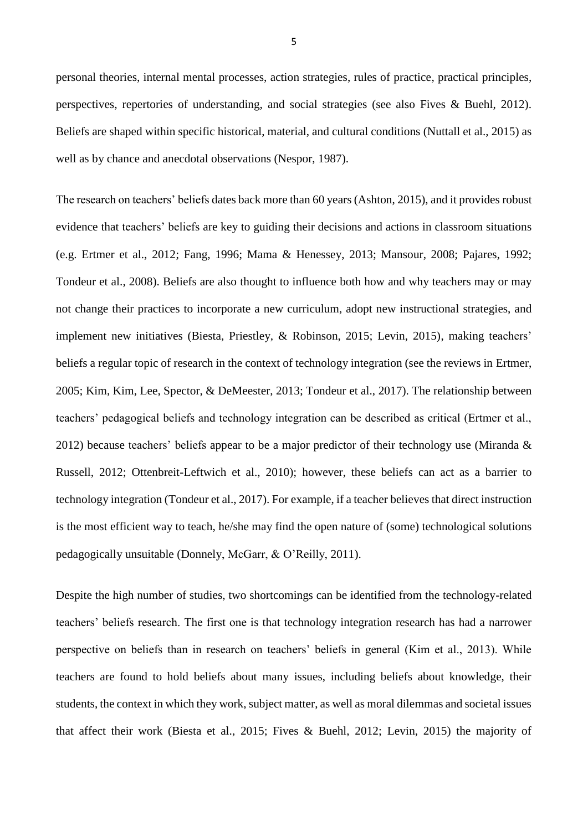personal theories, internal mental processes, action strategies, rules of practice, practical principles, perspectives, repertories of understanding, and social strategies (see also Fives & Buehl, 2012). Beliefs are shaped within specific historical, material, and cultural conditions (Nuttall et al., 2015) as well as by chance and anecdotal observations (Nespor, 1987).

The research on teachers' beliefs dates back more than 60 years (Ashton, 2015), and it provides robust evidence that teachers' beliefs are key to guiding their decisions and actions in classroom situations (e.g. Ertmer et al., 2012; Fang, 1996; Mama & Henessey, 2013; Mansour, 2008; Pajares, 1992; Tondeur et al., 2008). Beliefs are also thought to influence both how and why teachers may or may not change their practices to incorporate a new curriculum, adopt new instructional strategies, and implement new initiatives (Biesta, Priestley, & Robinson, 2015; Levin, 2015), making teachers' beliefs a regular topic of research in the context of technology integration (see the reviews in Ertmer, 2005; Kim, Kim, Lee, Spector, & DeMeester, 2013; Tondeur et al., 2017). The relationship between teachers' pedagogical beliefs and technology integration can be described as critical (Ertmer et al., 2012) because teachers' beliefs appear to be a major predictor of their technology use (Miranda & Russell, 2012; Ottenbreit-Leftwich et al., 2010); however, these beliefs can act as a barrier to technology integration (Tondeur et al., 2017). For example, if a teacher believes that direct instruction is the most efficient way to teach, he/she may find the open nature of (some) technological solutions pedagogically unsuitable (Donnely, McGarr, & O'Reilly, 2011).

Despite the high number of studies, two shortcomings can be identified from the technology-related teachers' beliefs research. The first one is that technology integration research has had a narrower perspective on beliefs than in research on teachers' beliefs in general (Kim et al., 2013). While teachers are found to hold beliefs about many issues, including beliefs about knowledge, their students, the context in which they work, subject matter, as well as moral dilemmas and societal issues that affect their work (Biesta et al., 2015; Fives & Buehl, 2012; Levin, 2015) the majority of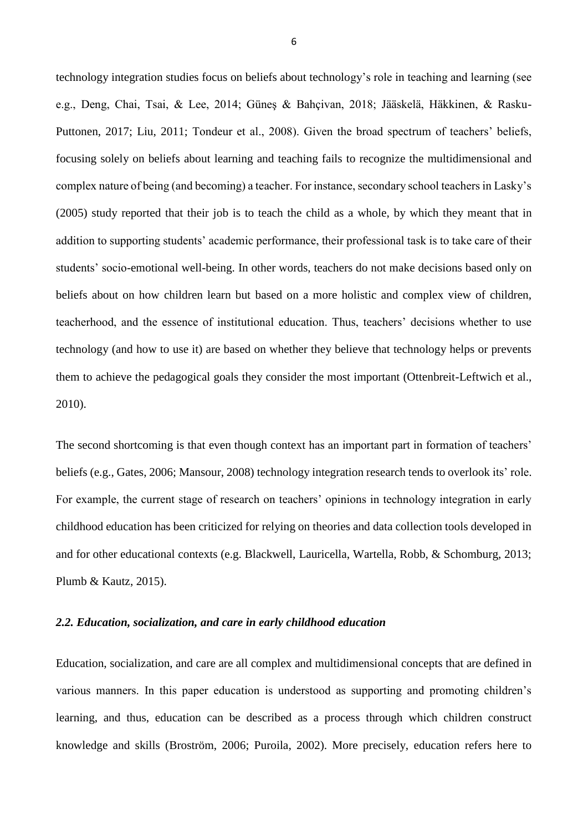technology integration studies focus on beliefs about technology's role in teaching and learning (see e.g., Deng, Chai, Tsai, & Lee, 2014; Güneş & Bahçivan, 2018; Jääskelä, Häkkinen, & Rasku-Puttonen, 2017; Liu, 2011; Tondeur et al., 2008). Given the broad spectrum of teachers' beliefs, focusing solely on beliefs about learning and teaching fails to recognize the multidimensional and complex nature of being (and becoming) a teacher. For instance, secondary school teachers in Lasky's (2005) study reported that their job is to teach the child as a whole, by which they meant that in addition to supporting students' academic performance, their professional task is to take care of their students' socio-emotional well-being. In other words, teachers do not make decisions based only on beliefs about on how children learn but based on a more holistic and complex view of children, teacherhood, and the essence of institutional education. Thus, teachers' decisions whether to use technology (and how to use it) are based on whether they believe that technology helps or prevents them to achieve the pedagogical goals they consider the most important (Ottenbreit-Leftwich et al., 2010).

The second shortcoming is that even though context has an important part in formation of teachers' beliefs (e.g., Gates, 2006; Mansour, 2008) technology integration research tends to overlook its' role. For example, the current stage of research on teachers' opinions in technology integration in early childhood education has been criticized for relying on theories and data collection tools developed in and for other educational contexts (e.g. Blackwell, Lauricella, Wartella, Robb, & Schomburg, 2013; Plumb & Kautz, 2015).

#### *2.2. Education, socialization, and care in early childhood education*

Education, socialization, and care are all complex and multidimensional concepts that are defined in various manners. In this paper education is understood as supporting and promoting children's learning, and thus, education can be described as a process through which children construct knowledge and skills (Broström, 2006; Puroila, 2002). More precisely, education refers here to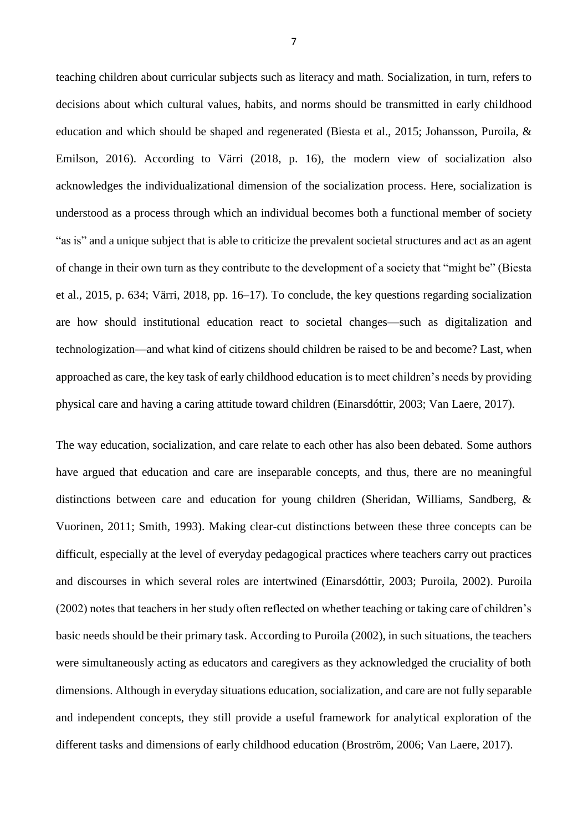teaching children about curricular subjects such as literacy and math. Socialization, in turn, refers to decisions about which cultural values, habits, and norms should be transmitted in early childhood education and which should be shaped and regenerated (Biesta et al., 2015; Johansson, Puroila, & Emilson, 2016). According to Värri (2018, p. 16), the modern view of socialization also acknowledges the individualizational dimension of the socialization process. Here, socialization is understood as a process through which an individual becomes both a functional member of society "as is" and a unique subject that is able to criticize the prevalent societal structures and act as an agent of change in their own turn as they contribute to the development of a society that "might be" (Biesta et al., 2015, p. 634; Värri, 2018, pp. 16–17). To conclude, the key questions regarding socialization are how should institutional education react to societal changes—such as digitalization and technologization—and what kind of citizens should children be raised to be and become? Last, when approached as care, the key task of early childhood education is to meet children's needs by providing physical care and having a caring attitude toward children (Einarsdóttir, 2003; Van Laere, 2017).

The way education, socialization, and care relate to each other has also been debated. Some authors have argued that education and care are inseparable concepts, and thus, there are no meaningful distinctions between care and education for young children (Sheridan, Williams, Sandberg, & Vuorinen, 2011; Smith, 1993). Making clear-cut distinctions between these three concepts can be difficult, especially at the level of everyday pedagogical practices where teachers carry out practices and discourses in which several roles are intertwined (Einarsdóttir, 2003; Puroila, 2002). Puroila (2002) notes that teachers in her study often reflected on whether teaching or taking care of children's basic needs should be their primary task. According to Puroila (2002), in such situations, the teachers were simultaneously acting as educators and caregivers as they acknowledged the cruciality of both dimensions. Although in everyday situations education, socialization, and care are not fully separable and independent concepts, they still provide a useful framework for analytical exploration of the different tasks and dimensions of early childhood education (Broström, 2006; Van Laere, 2017).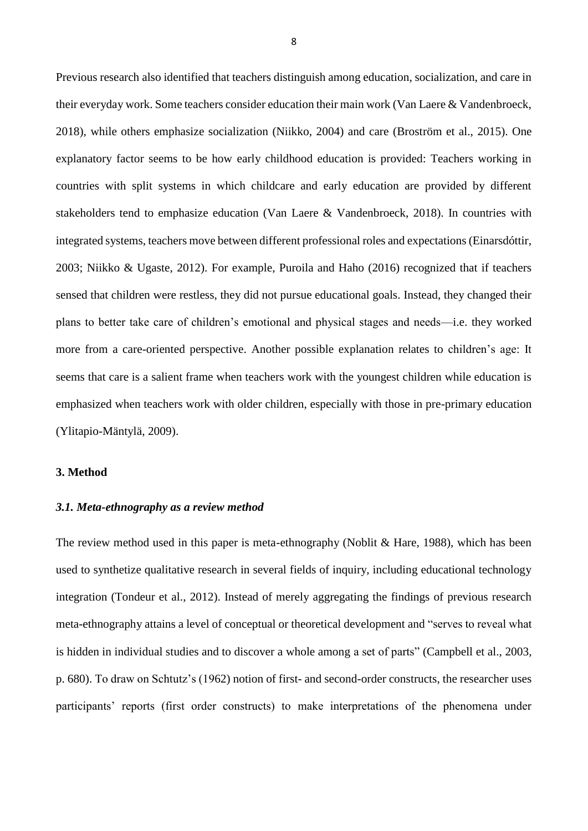Previous research also identified that teachers distinguish among education, socialization, and care in their everyday work. Some teachers consider education their main work (Van Laere & Vandenbroeck, 2018), while others emphasize socialization (Niikko, 2004) and care (Broström et al., 2015). One explanatory factor seems to be how early childhood education is provided: Teachers working in countries with split systems in which childcare and early education are provided by different stakeholders tend to emphasize education (Van Laere & Vandenbroeck, 2018). In countries with integrated systems, teachers move between different professional roles and expectations (Einarsdóttir, 2003; Niikko & Ugaste, 2012). For example, Puroila and Haho (2016) recognized that if teachers sensed that children were restless, they did not pursue educational goals. Instead, they changed their plans to better take care of children's emotional and physical stages and needs—i.e. they worked more from a care-oriented perspective. Another possible explanation relates to children's age: It seems that care is a salient frame when teachers work with the youngest children while education is emphasized when teachers work with older children, especially with those in pre-primary education (Ylitapio-Mäntylä, 2009).

#### **3. Method**

#### *3.1. Meta-ethnography as a review method*

The review method used in this paper is meta-ethnography (Noblit & Hare, 1988), which has been used to synthetize qualitative research in several fields of inquiry, including educational technology integration (Tondeur et al., 2012). Instead of merely aggregating the findings of previous research meta-ethnography attains a level of conceptual or theoretical development and "serves to reveal what is hidden in individual studies and to discover a whole among a set of parts" (Campbell et al., 2003, p. 680). To draw on Schtutz's (1962) notion of first- and second-order constructs, the researcher uses participants' reports (first order constructs) to make interpretations of the phenomena under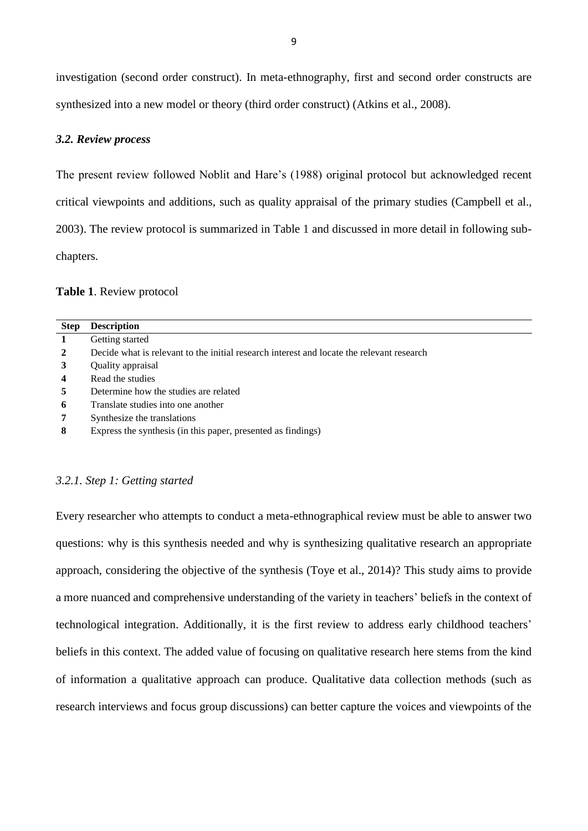investigation (second order construct). In meta-ethnography, first and second order constructs are synthesized into a new model or theory (third order construct) (Atkins et al., 2008).

## *3.2. Review process*

The present review followed Noblit and Hare's (1988) original protocol but acknowledged recent critical viewpoints and additions, such as quality appraisal of the primary studies (Campbell et al., 2003). The review protocol is summarized in Table 1 and discussed in more detail in following subchapters.

#### **Table 1**. Review protocol

| <b>Step</b>      | <b>Description</b>                                                                        |
|------------------|-------------------------------------------------------------------------------------------|
| 1                | Getting started                                                                           |
| $\overline{2}$   | Decide what is relevant to the initial research interest and locate the relevant research |
| 3                | Quality appraisal                                                                         |
| $\boldsymbol{4}$ | Read the studies                                                                          |
| 5                | Determine how the studies are related                                                     |
| 6                | Translate studies into one another                                                        |
| 7                | Synthesize the translations                                                               |
| 8                | Express the synthesis (in this paper, presented as findings)                              |

## *3.2.1. Step 1: Getting started*

Every researcher who attempts to conduct a meta-ethnographical review must be able to answer two questions: why is this synthesis needed and why is synthesizing qualitative research an appropriate approach, considering the objective of the synthesis (Toye et al., 2014)? This study aims to provide a more nuanced and comprehensive understanding of the variety in teachers' beliefs in the context of technological integration. Additionally, it is the first review to address early childhood teachers' beliefs in this context. The added value of focusing on qualitative research here stems from the kind of information a qualitative approach can produce. Qualitative data collection methods (such as research interviews and focus group discussions) can better capture the voices and viewpoints of the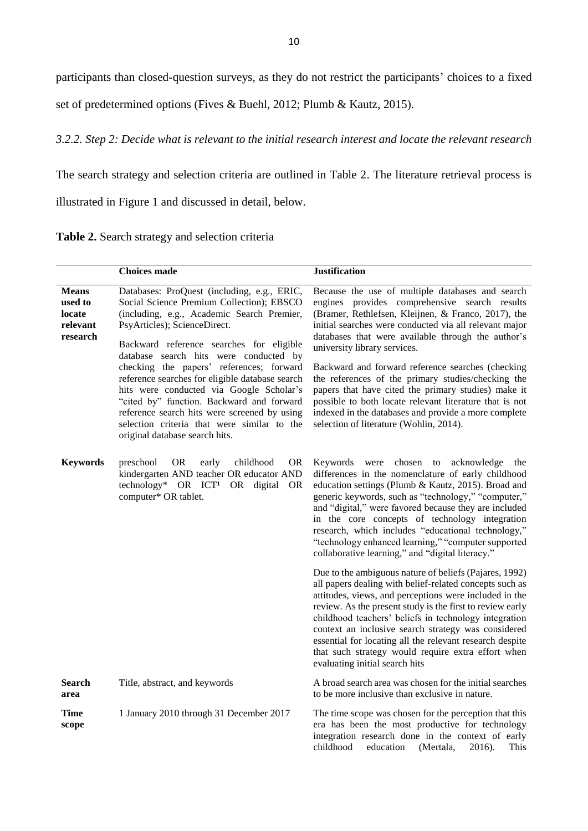participants than closed-question surveys, as they do not restrict the participants' choices to a fixed

set of predetermined options (Fives & Buehl, 2012; Plumb & Kautz, 2015).

# *3.2.2. Step 2: Decide what is relevant to the initial research interest and locate the relevant research*

The search strategy and selection criteria are outlined in Table 2. The literature retrieval process is

illustrated in Figure 1 and discussed in detail, below.

|  |  |  |  | Table 2. Search strategy and selection criteria |  |
|--|--|--|--|-------------------------------------------------|--|
|--|--|--|--|-------------------------------------------------|--|

|                                                           | <b>Choices</b> made                                                                                                                                                                                                                                                                                                                                                                                                                                                                                                                                                                   | <b>Justification</b>                                                                                                                                                                                                                                                                                                                                                                                                                                                                                                                                                                                                                     |
|-----------------------------------------------------------|---------------------------------------------------------------------------------------------------------------------------------------------------------------------------------------------------------------------------------------------------------------------------------------------------------------------------------------------------------------------------------------------------------------------------------------------------------------------------------------------------------------------------------------------------------------------------------------|------------------------------------------------------------------------------------------------------------------------------------------------------------------------------------------------------------------------------------------------------------------------------------------------------------------------------------------------------------------------------------------------------------------------------------------------------------------------------------------------------------------------------------------------------------------------------------------------------------------------------------------|
| <b>Means</b><br>used to<br>locate<br>relevant<br>research | Databases: ProQuest (including, e.g., ERIC,<br>Social Science Premium Collection); EBSCO<br>(including, e.g., Academic Search Premier,<br>PsyArticles); ScienceDirect.<br>Backward reference searches for eligible<br>database search hits were conducted by<br>checking the papers' references; forward<br>reference searches for eligible database search<br>hits were conducted via Google Scholar's<br>"cited by" function. Backward and forward<br>reference search hits were screened by using<br>selection criteria that were similar to the<br>original database search hits. | Because the use of multiple databases and search<br>engines provides comprehensive search results<br>(Bramer, Rethlefsen, Kleijnen, & Franco, 2017), the<br>initial searches were conducted via all relevant major<br>databases that were available through the author's<br>university library services.<br>Backward and forward reference searches (checking<br>the references of the primary studies/checking the<br>papers that have cited the primary studies) make it<br>possible to both locate relevant literature that is not<br>indexed in the databases and provide a more complete<br>selection of literature (Wohlin, 2014). |
| <b>Keywords</b>                                           | childhood<br>preschool<br><b>OR</b><br>early<br>OR<br>kindergarten AND teacher OR educator AND<br>technology* OR ICT <sup>1</sup> OR digital<br><b>OR</b><br>computer* OR tablet.                                                                                                                                                                                                                                                                                                                                                                                                     | Keywords were chosen to acknowledge<br>the<br>differences in the nomenclature of early childhood<br>education settings (Plumb & Kautz, 2015). Broad and<br>generic keywords, such as "technology," "computer,"<br>and "digital," were favored because they are included<br>in the core concepts of technology integration<br>research, which includes "educational technology,"<br>"technology enhanced learning," "computer supported<br>collaborative learning," and "digital literacy."                                                                                                                                               |
|                                                           |                                                                                                                                                                                                                                                                                                                                                                                                                                                                                                                                                                                       | Due to the ambiguous nature of beliefs (Pajares, 1992)<br>all papers dealing with belief-related concepts such as<br>attitudes, views, and perceptions were included in the<br>review. As the present study is the first to review early<br>childhood teachers' beliefs in technology integration<br>context an inclusive search strategy was considered<br>essential for locating all the relevant research despite<br>that such strategy would require extra effort when<br>evaluating initial search hits                                                                                                                             |
| <b>Search</b><br>area                                     | Title, abstract, and keywords                                                                                                                                                                                                                                                                                                                                                                                                                                                                                                                                                         | A broad search area was chosen for the initial searches<br>to be more inclusive than exclusive in nature.                                                                                                                                                                                                                                                                                                                                                                                                                                                                                                                                |
| Time<br>scope                                             | 1 January 2010 through 31 December 2017                                                                                                                                                                                                                                                                                                                                                                                                                                                                                                                                               | The time scope was chosen for the perception that this<br>era has been the most productive for technology<br>integration research done in the context of early<br>childhood<br>2016).<br>education<br>(Mertala,<br>This                                                                                                                                                                                                                                                                                                                                                                                                                  |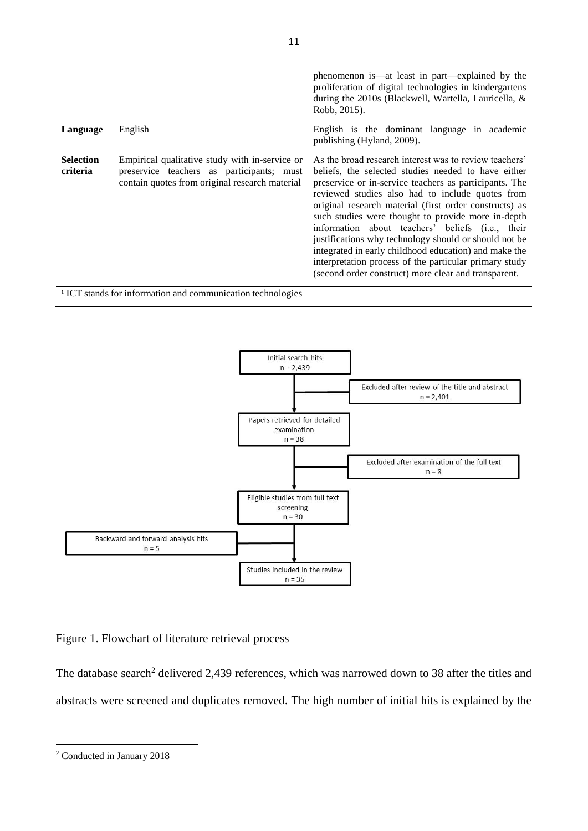|                              |                                                                                                                                               | phenomenon is—at least in part—explained by the<br>proliferation of digital technologies in kindergartens<br>during the 2010s (Blackwell, Wartella, Lauricella, &<br>Robb, 2015).                                                                                                                                                                                                                                                                                                                                                                                                                                                   |
|------------------------------|-----------------------------------------------------------------------------------------------------------------------------------------------|-------------------------------------------------------------------------------------------------------------------------------------------------------------------------------------------------------------------------------------------------------------------------------------------------------------------------------------------------------------------------------------------------------------------------------------------------------------------------------------------------------------------------------------------------------------------------------------------------------------------------------------|
| Language                     | English                                                                                                                                       | English is the dominant language in academic<br>publishing (Hyland, 2009).                                                                                                                                                                                                                                                                                                                                                                                                                                                                                                                                                          |
| <b>Selection</b><br>criteria | Empirical qualitative study with in-service or<br>preservice teachers as participants; must<br>contain quotes from original research material | As the broad research interest was to review teachers'<br>beliefs, the selected studies needed to have either<br>preservice or in-service teachers as participants. The<br>reviewed studies also had to include quotes from<br>original research material (first order constructs) as<br>such studies were thought to provide more in-depth<br>information about teachers' beliefs (i.e., their<br>justifications why technology should or should not be<br>integrated in early childhood education) and make the<br>interpretation process of the particular primary study<br>(second order construct) more clear and transparent. |

<sup>1</sup> ICT stands for information and communication technologies



Figure 1. Flowchart of literature retrieval process

The database search<sup>2</sup> delivered 2,439 references, which was narrowed down to 38 after the titles and abstracts were screened and duplicates removed. The high number of initial hits is explained by the

1

<sup>2</sup> Conducted in January 2018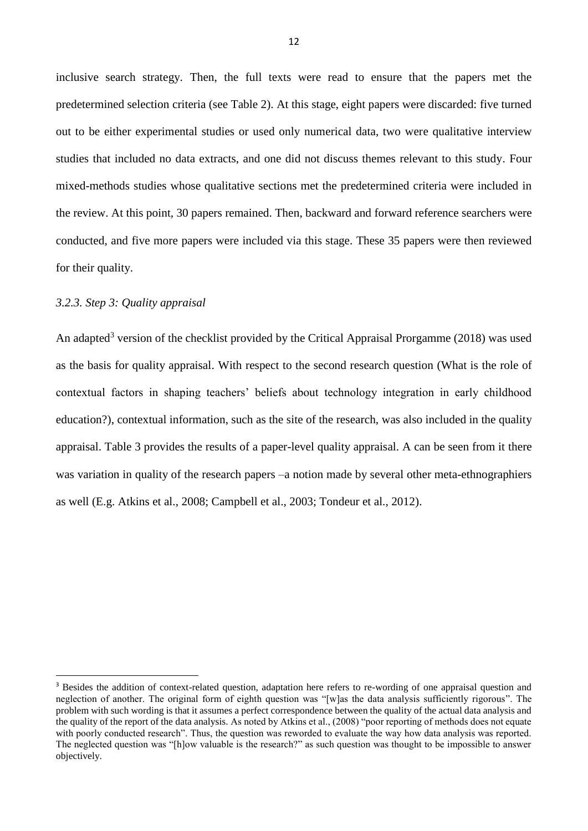inclusive search strategy. Then, the full texts were read to ensure that the papers met the predetermined selection criteria (see Table 2). At this stage, eight papers were discarded: five turned out to be either experimental studies or used only numerical data, two were qualitative interview studies that included no data extracts, and one did not discuss themes relevant to this study. Four mixed-methods studies whose qualitative sections met the predetermined criteria were included in the review. At this point, 30 papers remained. Then, backward and forward reference searchers were conducted, and five more papers were included via this stage. These 35 papers were then reviewed for their quality.

#### *3.2.3. Step 3: Quality appraisal*

1

An adapted<sup>3</sup> version of the checklist provided by the Critical Appraisal Prorgamme (2018) was used as the basis for quality appraisal. With respect to the second research question (What is the role of contextual factors in shaping teachers' beliefs about technology integration in early childhood education?), contextual information, such as the site of the research, was also included in the quality appraisal. Table 3 provides the results of a paper-level quality appraisal. A can be seen from it there was variation in quality of the research papers –a notion made by several other meta-ethnographiers as well (E.g. Atkins et al., 2008; Campbell et al., 2003; Tondeur et al., 2012).

<sup>&</sup>lt;sup>3</sup> Besides the addition of context-related question, adaptation here refers to re-wording of one appraisal question and neglection of another. The original form of eighth question was "[w]as the data analysis sufficiently rigorous". The problem with such wording is that it assumes a perfect correspondence between the quality of the actual data analysis and the quality of the report of the data analysis. As noted by Atkins et al., (2008) "poor reporting of methods does not equate with poorly conducted research". Thus, the question was reworded to evaluate the way how data analysis was reported. The neglected question was "[h]ow valuable is the research?" as such question was thought to be impossible to answer objectively.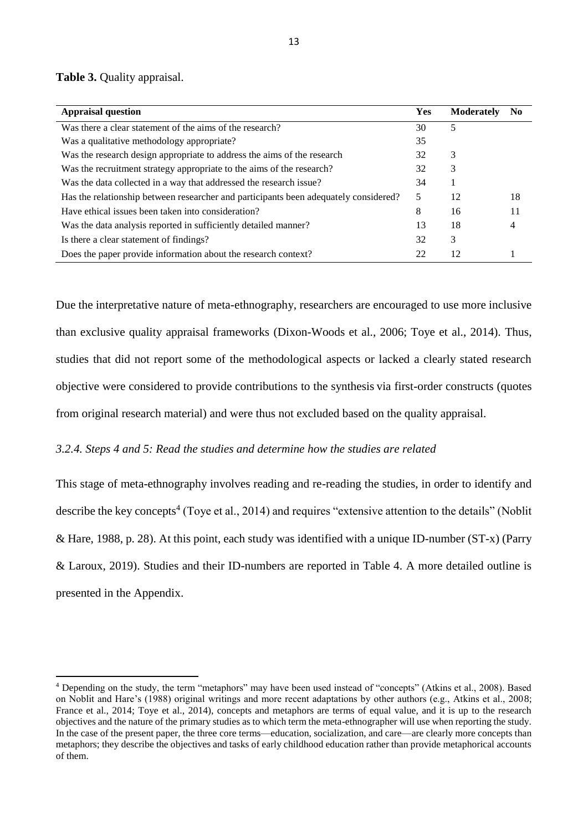**Table 3.** Quality appraisal.

**.** 

| <b>Appraisal question</b>                                                            | <b>Yes</b> | <b>Moderately</b> | N <sub>0</sub> |
|--------------------------------------------------------------------------------------|------------|-------------------|----------------|
| Was there a clear statement of the aims of the research?                             | 30         | 5                 |                |
| Was a qualitative methodology appropriate?                                           | 35         |                   |                |
| Was the research design appropriate to address the aims of the research              | 32         | 3                 |                |
| Was the recruitment strategy appropriate to the aims of the research?                | 32         | 3                 |                |
| Was the data collected in a way that addressed the research issue?                   | 34         |                   |                |
| Has the relationship between researcher and participants been adequately considered? | 5          | 12                | 18             |
| Have ethical issues been taken into consideration?                                   | 8          | 16                | 11             |
| Was the data analysis reported in sufficiently detailed manner?                      | 13         | 18                | 4              |
| Is there a clear statement of findings?                                              | 32         | 3                 |                |
| Does the paper provide information about the research context?                       | 22         | 12                |                |

Due the interpretative nature of meta-ethnography, researchers are encouraged to use more inclusive than exclusive quality appraisal frameworks (Dixon-Woods et al., 2006; Toye et al., 2014). Thus, studies that did not report some of the methodological aspects or lacked a clearly stated research objective were considered to provide contributions to the synthesis via first-order constructs (quotes from original research material) and were thus not excluded based on the quality appraisal.

## *3.2.4. Steps 4 and 5: Read the studies and determine how the studies are related*

This stage of meta-ethnography involves reading and re-reading the studies, in order to identify and describe the key concepts<sup>4</sup> (Toye et al., 2014) and requires "extensive attention to the details" (Noblit & Hare, 1988, p. 28). At this point, each study was identified with a unique ID-number (ST-x) (Parry & Laroux, 2019). Studies and their ID-numbers are reported in Table 4. A more detailed outline is presented in the Appendix.

<sup>4</sup> Depending on the study, the term "metaphors" may have been used instead of "concepts" (Atkins et al., 2008). Based on Noblit and Hare's (1988) original writings and more recent adaptations by other authors (e.g., Atkins et al., 2008; France et al., 2014; Toye et al., 2014), concepts and metaphors are terms of equal value, and it is up to the research objectives and the nature of the primary studies as to which term the meta-ethnographer will use when reporting the study. In the case of the present paper, the three core terms—education, socialization, and care—are clearly more concepts than metaphors; they describe the objectives and tasks of early childhood education rather than provide metaphorical accounts of them.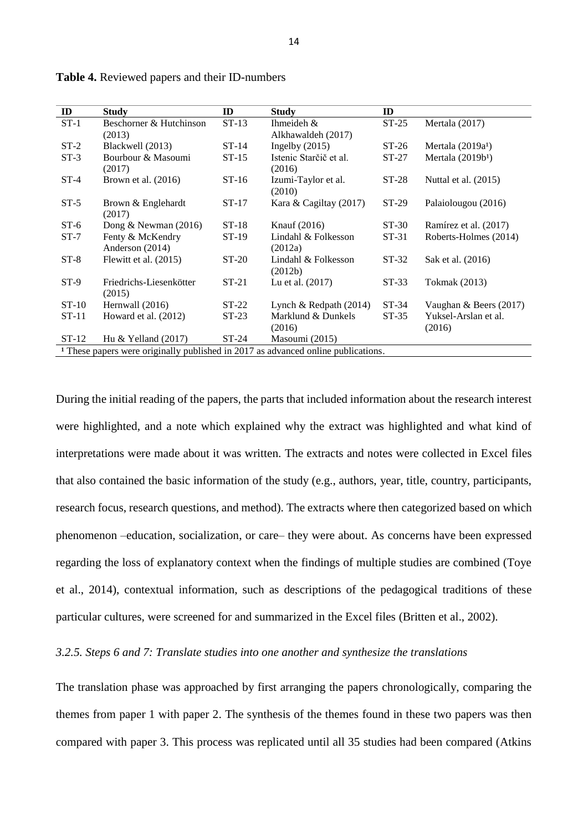| ID<br>ID<br>ID<br><b>Study</b><br><b>Study</b> |                                                                                              |         |                               |         |                               |  |  |  |  |  |
|------------------------------------------------|----------------------------------------------------------------------------------------------|---------|-------------------------------|---------|-------------------------------|--|--|--|--|--|
| $ST-1$                                         | Beschorner & Hutchinson                                                                      | $ST-13$ | Ihmeideh $&$                  | $ST-25$ | Mertala (2017)                |  |  |  |  |  |
|                                                | (2013)                                                                                       |         | Alkhawaldeh (2017)            |         |                               |  |  |  |  |  |
| $ST-2$                                         | Blackwell (2013)                                                                             | $ST-14$ | Ingelby $(2015)$              | $ST-26$ | Mertala $(2019a1)$            |  |  |  |  |  |
| $ST-3$                                         | Bourbour & Masoumi                                                                           | $ST-15$ | Istenic Starčič et al.        | $ST-27$ | Mertala (2019b <sup>1</sup> ) |  |  |  |  |  |
|                                                | (2017)                                                                                       |         | (2016)                        |         |                               |  |  |  |  |  |
| $ST-4$                                         | Brown et al. (2016)                                                                          | $ST-16$ | Izumi-Taylor et al.<br>(2010) | $ST-28$ | Nuttal et al. (2015)          |  |  |  |  |  |
| $ST-5$                                         | Brown & Englehardt<br>(2017)                                                                 | $ST-17$ | Kara & Cagiltay (2017)        | $ST-29$ | Palaiolougou (2016)           |  |  |  |  |  |
| $ST-6$                                         | Dong & Newman $(2016)$                                                                       | $ST-18$ | Knauf $(2016)$                | $ST-30$ | Ramírez et al. (2017)         |  |  |  |  |  |
| $ST-7$                                         | Fenty & McKendry                                                                             | $ST-19$ | Lindahl & Folkesson           | $ST-31$ | Roberts-Holmes (2014)         |  |  |  |  |  |
|                                                | Anderson (2014)                                                                              |         | (2012a)                       |         |                               |  |  |  |  |  |
| $ST-8$                                         | Flewitt et al. (2015)                                                                        | $ST-20$ | Lindahl & Folkesson           | $ST-32$ | Sak et al. (2016)             |  |  |  |  |  |
|                                                |                                                                                              |         | (2012b)                       |         |                               |  |  |  |  |  |
| $ST-9$                                         | Friedrichs-Liesenkötter                                                                      | $ST-21$ | Lu et al. $(2017)$            | $ST-33$ | Tokmak (2013)                 |  |  |  |  |  |
|                                                | (2015)                                                                                       |         |                               |         |                               |  |  |  |  |  |
| $ST-10$                                        | Hernwall (2016)                                                                              | $ST-22$ | Lynch & Redpath $(2014)$      | $ST-34$ | Vaughan & Beers (2017)        |  |  |  |  |  |
| $ST-11$                                        | Howard et al. (2012)                                                                         | $ST-23$ | Marklund & Dunkels            | $ST-35$ | Yuksel-Arslan et al.          |  |  |  |  |  |
|                                                |                                                                                              |         | (2016)                        |         | (2016)                        |  |  |  |  |  |
| $ST-12$                                        | Hu & Yelland $(2017)$                                                                        | $ST-24$ | Masoumi (2015)                |         |                               |  |  |  |  |  |
|                                                | <sup>1</sup> These papers were originally published in 2017 as advanced online publications. |         |                               |         |                               |  |  |  |  |  |

**Table 4.** Reviewed papers and their ID-numbers

During the initial reading of the papers, the parts that included information about the research interest were highlighted, and a note which explained why the extract was highlighted and what kind of interpretations were made about it was written. The extracts and notes were collected in Excel files that also contained the basic information of the study (e.g., authors, year, title, country, participants, research focus, research questions, and method). The extracts where then categorized based on which phenomenon –education, socialization, or care– they were about. As concerns have been expressed regarding the loss of explanatory context when the findings of multiple studies are combined (Toye et al., 2014), contextual information, such as descriptions of the pedagogical traditions of these particular cultures, were screened for and summarized in the Excel files (Britten et al., 2002).

#### *3.2.5. Steps 6 and 7: Translate studies into one another and synthesize the translations*

The translation phase was approached by first arranging the papers chronologically, comparing the themes from paper 1 with paper 2. The synthesis of the themes found in these two papers was then compared with paper 3. This process was replicated until all 35 studies had been compared (Atkins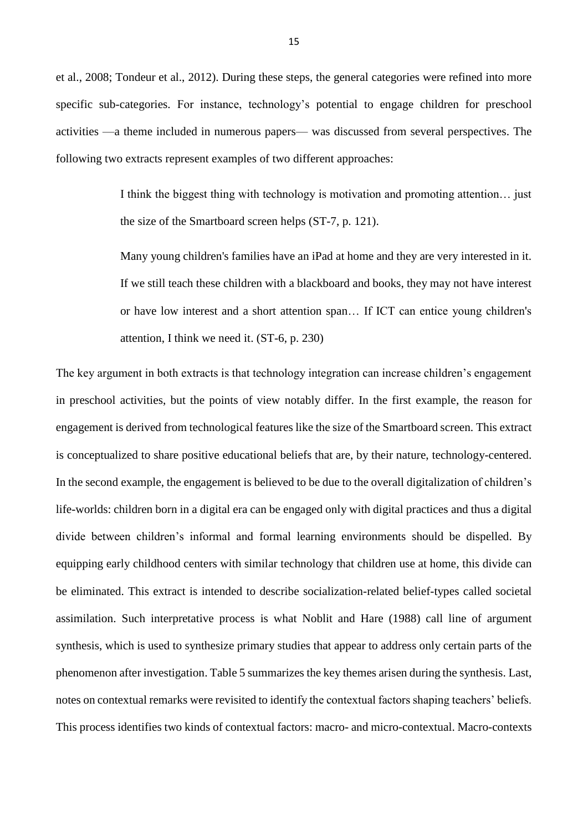et al., 2008; Tondeur et al., 2012). During these steps, the general categories were refined into more specific sub-categories. For instance, technology's potential to engage children for preschool activities —a theme included in numerous papers— was discussed from several perspectives. The following two extracts represent examples of two different approaches:

> I think the biggest thing with technology is motivation and promoting attention… just the size of the Smartboard screen helps (ST-7, p. 121).

> Many young children's families have an iPad at home and they are very interested in it. If we still teach these children with a blackboard and books, they may not have interest or have low interest and a short attention span… If ICT can entice young children's attention, I think we need it. (ST-6, p. 230)

The key argument in both extracts is that technology integration can increase children's engagement in preschool activities, but the points of view notably differ. In the first example, the reason for engagement is derived from technological features like the size of the Smartboard screen. This extract is conceptualized to share positive educational beliefs that are, by their nature, technology-centered. In the second example, the engagement is believed to be due to the overall digitalization of children's life-worlds: children born in a digital era can be engaged only with digital practices and thus a digital divide between children's informal and formal learning environments should be dispelled. By equipping early childhood centers with similar technology that children use at home, this divide can be eliminated. This extract is intended to describe socialization-related belief-types called societal assimilation. Such interpretative process is what Noblit and Hare (1988) call line of argument synthesis, which is used to synthesize primary studies that appear to address only certain parts of the phenomenon after investigation. Table 5 summarizes the key themes arisen during the synthesis. Last, notes on contextual remarks were revisited to identify the contextual factors shaping teachers' beliefs. This process identifies two kinds of contextual factors: macro- and micro-contextual. Macro-contexts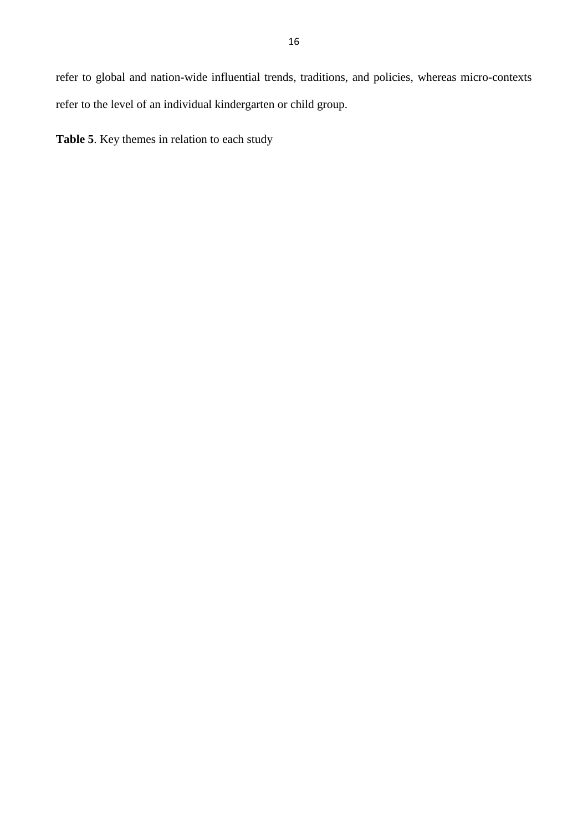refer to global and nation-wide influential trends, traditions, and policies, whereas micro-contexts refer to the level of an individual kindergarten or child group.

**Table 5**. Key themes in relation to each study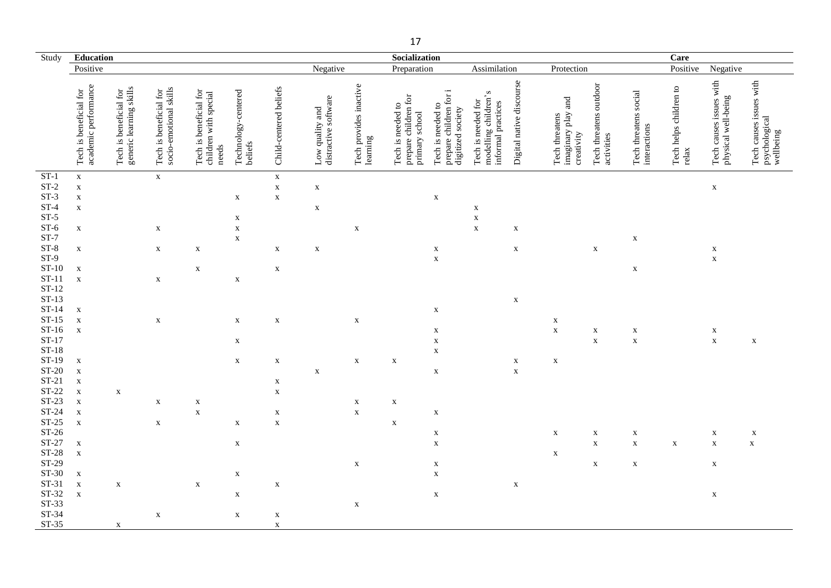| Study                  | Education                                      |                                                   |                                                  |                                                          |                                |                            |                                         |                                    | Socialization                                               |                                                                  |                                                                  |                          |                                                    |                                      |                                       | Care                            |                                                |                                                       |
|------------------------|------------------------------------------------|---------------------------------------------------|--------------------------------------------------|----------------------------------------------------------|--------------------------------|----------------------------|-----------------------------------------|------------------------------------|-------------------------------------------------------------|------------------------------------------------------------------|------------------------------------------------------------------|--------------------------|----------------------------------------------------|--------------------------------------|---------------------------------------|---------------------------------|------------------------------------------------|-------------------------------------------------------|
|                        | Positive                                       |                                                   |                                                  |                                                          |                                |                            | Negative                                |                                    | Preparation                                                 |                                                                  | Assimilation                                                     |                          | Protection                                         |                                      |                                       | Positive                        | Negative                                       |                                                       |
|                        | academic performance<br>Tech is beneficial for | generic learning skills<br>Tech is beneficial for | socio-emotional skills<br>Tech is beneficial for | Tech is beneficial for<br>children with special<br>needs | Technology-centered<br>beliefs | Child-centered beliefs     | distractive software<br>Low quality and | Tech provides inactive<br>learning | Tech is needed to<br>prepare children for<br>primary school | prepare children for i<br>Tech is needed to<br>digitized society | modelling children's<br>Tech is needed for<br>informal practices | Digital native discourse | imaginary play and<br>Tech threatens<br>creativity | Tech threatens outdoor<br>activities | Tech threatens social<br>interactions | Tech helps children to<br>relax | Tech causes issues with<br>physical well-being | Tech causes issues with<br>psychological<br>wellbeing |
| $ST-1$                 | $\mathbf X$                                    |                                                   | $\mathbf X$                                      |                                                          |                                | $\mathbf X$                |                                         |                                    |                                                             |                                                                  |                                                                  |                          |                                                    |                                      |                                       |                                 |                                                |                                                       |
| $\operatorname{ST-2}$  | $\mathbf X$                                    |                                                   |                                                  |                                                          |                                | $\mathbf X$                | $\mathbf X$                             |                                    |                                                             |                                                                  |                                                                  |                          |                                                    |                                      |                                       |                                 | $\mathbf X$                                    |                                                       |
| $ST-3$<br>$ST-4$       | $\mathbf X$<br>$\mathbf X$                     |                                                   |                                                  |                                                          | $\mathbf X$                    | $\mathbf X$                | $\mathbf X$                             |                                    |                                                             | $\mathbf X$                                                      | X                                                                |                          |                                                    |                                      |                                       |                                 |                                                |                                                       |
| $ST-5$                 |                                                |                                                   |                                                  |                                                          | $\mathbf X$                    |                            |                                         |                                    |                                                             |                                                                  | $\mathbf X$                                                      |                          |                                                    |                                      |                                       |                                 |                                                |                                                       |
| $ST-6$                 | $\mathbf X$                                    |                                                   | $\mathbf X$                                      |                                                          | $\mathbf X$                    |                            |                                         | X                                  |                                                             |                                                                  | $\mathbf X$                                                      | $\mathbf X$              |                                                    |                                      |                                       |                                 |                                                |                                                       |
| $ST-7$                 |                                                |                                                   |                                                  |                                                          | $\mathbf X$                    |                            |                                         |                                    |                                                             |                                                                  |                                                                  |                          |                                                    |                                      | $\mathbf X$                           |                                 |                                                |                                                       |
| $ST-8$                 | $\mathbf X$                                    |                                                   | $\mathbf X$                                      | $\mathbf X$                                              |                                | $\mathbf X$                | $\mathbf X$                             |                                    |                                                             | X                                                                |                                                                  | $\mathbf X$              |                                                    | $\mathbf X$                          |                                       |                                 | $\mathbf X$                                    |                                                       |
| $ST-9$                 |                                                |                                                   |                                                  |                                                          |                                |                            |                                         |                                    |                                                             | $\mathbf X$                                                      |                                                                  |                          |                                                    |                                      |                                       |                                 | $\mathbf X$                                    |                                                       |
| $ST-10$                | $\mathbf X$                                    |                                                   |                                                  | $\mathbf X$                                              |                                | $\mathbf X$                |                                         |                                    |                                                             |                                                                  |                                                                  |                          |                                                    |                                      | $\mathbf X$                           |                                 |                                                |                                                       |
| $ST-11$<br>$ST-12$     | $\mathbf X$                                    |                                                   | $\mathbf X$                                      |                                                          | $\mathbf X$                    |                            |                                         |                                    |                                                             |                                                                  |                                                                  |                          |                                                    |                                      |                                       |                                 |                                                |                                                       |
| $ST-13$                |                                                |                                                   |                                                  |                                                          |                                |                            |                                         |                                    |                                                             |                                                                  |                                                                  | $\mathbf X$              |                                                    |                                      |                                       |                                 |                                                |                                                       |
| $ST-14$                | $\mathbf X$                                    |                                                   |                                                  |                                                          |                                |                            |                                         |                                    |                                                             | $\mathbf X$                                                      |                                                                  |                          |                                                    |                                      |                                       |                                 |                                                |                                                       |
| $ST-15$                | $\mathbf X$                                    |                                                   | $\mathbf X$                                      |                                                          | $\mathbf X$                    | $\mathbf X$                |                                         | $\mathbf X$                        |                                                             |                                                                  |                                                                  |                          | $\mathbf X$                                        |                                      |                                       |                                 |                                                |                                                       |
| $ST-16$                | $\mathbf X$                                    |                                                   |                                                  |                                                          |                                |                            |                                         |                                    |                                                             | X                                                                |                                                                  |                          | $\mathbf X$                                        | $\mathbf X$                          | $\mathbf X$                           |                                 | X                                              |                                                       |
| $ST-17$                |                                                |                                                   |                                                  |                                                          | $\mathbf X$                    |                            |                                         |                                    |                                                             | $\mathbf X$                                                      |                                                                  |                          |                                                    | $\mathbf X$                          | $\mathbf X$                           |                                 | $\mathbf X$                                    | $\mathbf X$                                           |
| $ST-18$                |                                                |                                                   |                                                  |                                                          |                                |                            |                                         |                                    |                                                             | $\mathbf X$                                                      |                                                                  |                          |                                                    |                                      |                                       |                                 |                                                |                                                       |
| ST-19                  | $\mathbf X$                                    |                                                   |                                                  |                                                          | $\mathbf X$                    | $\mathbf X$                |                                         | $\mathbf X$                        | $\mathbf X$                                                 |                                                                  |                                                                  | $\mathbf X$              | $\mathbf X$                                        |                                      |                                       |                                 |                                                |                                                       |
| $ST-20$<br>$ST-21$     | $\mathbf X$<br>$\mathbf X$                     |                                                   |                                                  |                                                          |                                |                            | $\mathbf X$                             |                                    |                                                             | $\mathbf X$                                                      |                                                                  | $\mathbf X$              |                                                    |                                      |                                       |                                 |                                                |                                                       |
| $ST-22$                | $\mathbf X$                                    | $\mathbf X$                                       |                                                  |                                                          |                                | $\mathbf X$<br>$\mathbf X$ |                                         |                                    |                                                             |                                                                  |                                                                  |                          |                                                    |                                      |                                       |                                 |                                                |                                                       |
| $ST-23$                | $\mathbf X$                                    |                                                   | $\mathbf X$                                      | $\mathbf X$                                              |                                |                            |                                         | $\mathbf X$                        | $\mathbf X$                                                 |                                                                  |                                                                  |                          |                                                    |                                      |                                       |                                 |                                                |                                                       |
| $ST-24$                | $\mathbf X$                                    |                                                   |                                                  | $\mathbf X$                                              |                                | $\mathbf X$                |                                         | $\mathbf X$                        |                                                             | $\mathbf X$                                                      |                                                                  |                          |                                                    |                                      |                                       |                                 |                                                |                                                       |
| $ST-25$                | $\mathbf X$                                    |                                                   | $\mathbf X$                                      |                                                          | $\mathbf X$                    | $\mathbf X$                |                                         |                                    | $\mathbf X$                                                 |                                                                  |                                                                  |                          |                                                    |                                      |                                       |                                 |                                                |                                                       |
| $ST-26$                |                                                |                                                   |                                                  |                                                          |                                |                            |                                         |                                    |                                                             | X                                                                |                                                                  |                          | $\mathbf X$                                        | X                                    | X                                     |                                 | X                                              | X                                                     |
| $ST-27$                | $\mathbf X$                                    |                                                   |                                                  |                                                          | $\mathbf X$                    |                            |                                         |                                    |                                                             | $\mathbf X$                                                      |                                                                  |                          |                                                    | $\mathbf X$                          | $\mathbf X$                           | $\mathbf X$                     | $\mathbf X$                                    | $\mathbf X$                                           |
| <b>ST-28</b>           | $\mathbf X$                                    |                                                   |                                                  |                                                          |                                |                            |                                         |                                    |                                                             |                                                                  |                                                                  |                          | $\mathbf X$                                        |                                      |                                       |                                 |                                                |                                                       |
| ST-29<br>ST-30         |                                                |                                                   |                                                  |                                                          |                                |                            |                                         | $\mathbf X$                        |                                                             | $\mathbf X$                                                      |                                                                  |                          |                                                    | $\mathbf X$                          | $\mathbf X$                           |                                 | $\mathbf X$                                    |                                                       |
| $ST-31$                | $\mathbf X$<br>$\mathbf X$                     | $\mathbf X$                                       |                                                  |                                                          | $\mathbf X$                    |                            |                                         |                                    |                                                             | $\mathbf X$                                                      |                                                                  |                          |                                                    |                                      |                                       |                                 |                                                |                                                       |
| $\operatorname{ST-32}$ | $\mathbf X$                                    |                                                   |                                                  | $\mathbf X$                                              | $\mathbf X$                    | $\mathbf X$                |                                         |                                    |                                                             | $\mathbf X$                                                      |                                                                  | $\mathbf X$              |                                                    |                                      |                                       |                                 | $\mathbf X$                                    |                                                       |
| $ST-33$                |                                                |                                                   |                                                  |                                                          |                                |                            |                                         | $\mathbf X$                        |                                                             |                                                                  |                                                                  |                          |                                                    |                                      |                                       |                                 |                                                |                                                       |
| ST-34                  |                                                |                                                   | $\mathbf X$                                      |                                                          | $\mathbf X$                    | X                          |                                         |                                    |                                                             |                                                                  |                                                                  |                          |                                                    |                                      |                                       |                                 |                                                |                                                       |
| ST-35                  |                                                | $\mathbf X$                                       |                                                  |                                                          |                                | $\mathbf X$                |                                         |                                    |                                                             |                                                                  |                                                                  |                          |                                                    |                                      |                                       |                                 |                                                |                                                       |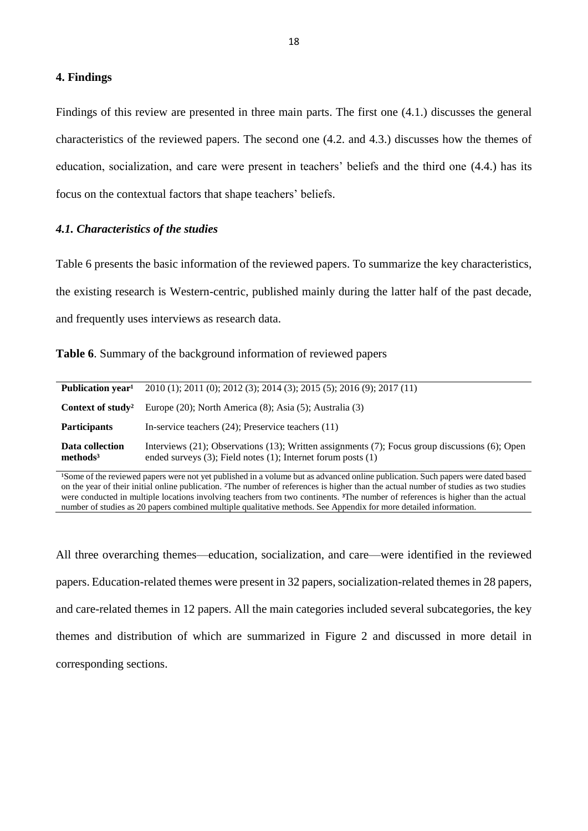#### **4. Findings**

Findings of this review are presented in three main parts. The first one (4.1.) discusses the general characteristics of the reviewed papers. The second one (4.2. and 4.3.) discusses how the themes of education, socialization, and care were present in teachers' beliefs and the third one (4.4.) has its focus on the contextual factors that shape teachers' beliefs.

#### *4.1. Characteristics of the studies*

Table 6 presents the basic information of the reviewed papers. To summarize the key characteristics, the existing research is Western-centric, published mainly during the latter half of the past decade, and frequently uses interviews as research data.

|  | Table 6. Summary of the background information of reviewed papers |  |  |  |  |  |  |
|--|-------------------------------------------------------------------|--|--|--|--|--|--|
|--|-------------------------------------------------------------------|--|--|--|--|--|--|

| Publication year <sup>1</sup>           | 2010 (1); 2011 (0); 2012 (3); 2014 (3); 2015 (5); 2016 (9); 2017 (11)                                                                                                              |
|-----------------------------------------|------------------------------------------------------------------------------------------------------------------------------------------------------------------------------------|
| Context of study <sup>2</sup>           | Europe (20); North America (8); Asia (5); Australia (3)                                                                                                                            |
| <b>Participants</b>                     | In-service teachers $(24)$ ; Preservice teachers $(11)$                                                                                                                            |
| Data collection<br>methods <sup>3</sup> | Interviews $(21)$ ; Observations $(13)$ ; Written assignments $(7)$ ; Focus group discussions $(6)$ ; Open<br>ended surveys $(3)$ ; Field notes $(1)$ ; Internet forum posts $(1)$ |

<sup>1</sup>Some of the reviewed papers were not yet published in a volume but as advanced online publication. Such papers were dated based on the year of their initial online publication. ²The number of references is higher than the actual number of studies as two studies were conducted in multiple locations involving teachers from two continents. **³**The number of references is higher than the actual number of studies as 20 papers combined multiple qualitative methods. See Appendix for more detailed information.

All three overarching themes—education, socialization, and care—were identified in the reviewed papers. Education-related themes were present in 32 papers, socialization-related themes in 28 papers, and care-related themes in 12 papers. All the main categories included several subcategories, the key themes and distribution of which are summarized in Figure 2 and discussed in more detail in corresponding sections.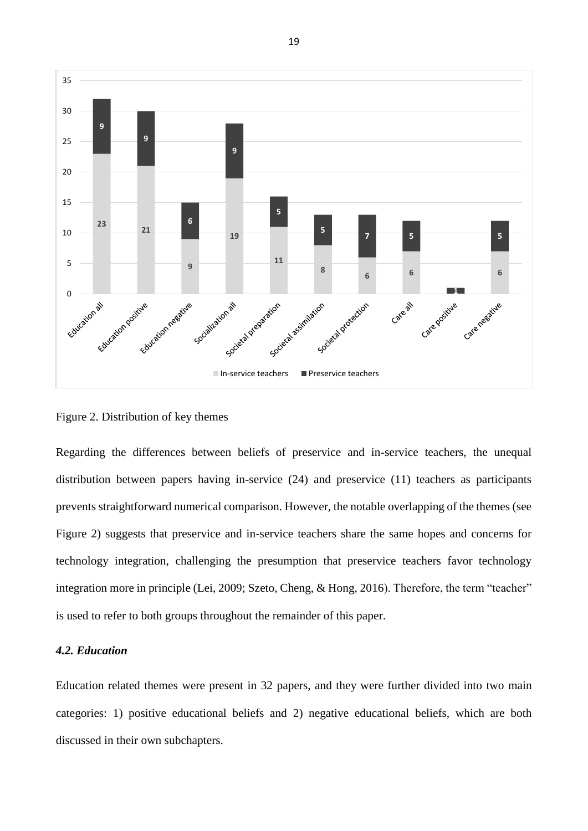

Figure 2. Distribution of key themes

Regarding the differences between beliefs of preservice and in-service teachers, the unequal distribution between papers having in-service (24) and preservice (11) teachers as participants prevents straightforward numerical comparison. However, the notable overlapping of the themes (see Figure 2) suggests that preservice and in-service teachers share the same hopes and concerns for technology integration, challenging the presumption that preservice teachers favor technology integration more in principle (Lei, 2009; Szeto, Cheng, & Hong, 2016). Therefore, the term "teacher" is used to refer to both groups throughout the remainder of this paper.

#### *4.2. Education*

Education related themes were present in 32 papers, and they were further divided into two main categories: 1) positive educational beliefs and 2) negative educational beliefs, which are both discussed in their own subchapters.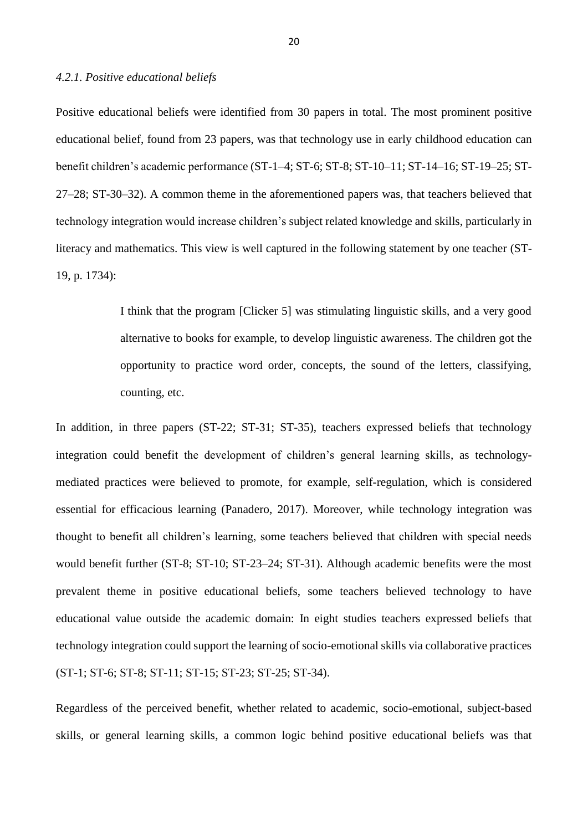#### *4.2.1. Positive educational beliefs*

Positive educational beliefs were identified from 30 papers in total. The most prominent positive educational belief, found from 23 papers, was that technology use in early childhood education can benefit children's academic performance (ST-1–4; ST-6; ST-8; ST-10–11; ST-14–16; ST-19–25; ST-27–28; ST-30–32). A common theme in the aforementioned papers was, that teachers believed that technology integration would increase children's subject related knowledge and skills, particularly in literacy and mathematics. This view is well captured in the following statement by one teacher (ST-19, p. 1734):

> I think that the program [Clicker 5] was stimulating linguistic skills, and a very good alternative to books for example, to develop linguistic awareness. The children got the opportunity to practice word order, concepts, the sound of the letters, classifying, counting, etc.

In addition, in three papers (ST-22; ST-31; ST-35), teachers expressed beliefs that technology integration could benefit the development of children's general learning skills, as technologymediated practices were believed to promote, for example, self-regulation, which is considered essential for efficacious learning (Panadero, 2017). Moreover, while technology integration was thought to benefit all children's learning, some teachers believed that children with special needs would benefit further (ST-8; ST-10; ST-23–24; ST-31). Although academic benefits were the most prevalent theme in positive educational beliefs, some teachers believed technology to have educational value outside the academic domain: In eight studies teachers expressed beliefs that technology integration could support the learning of socio-emotional skills via collaborative practices (ST-1; ST-6; ST-8; ST-11; ST-15; ST-23; ST-25; ST-34).

Regardless of the perceived benefit, whether related to academic, socio-emotional, subject-based skills, or general learning skills, a common logic behind positive educational beliefs was that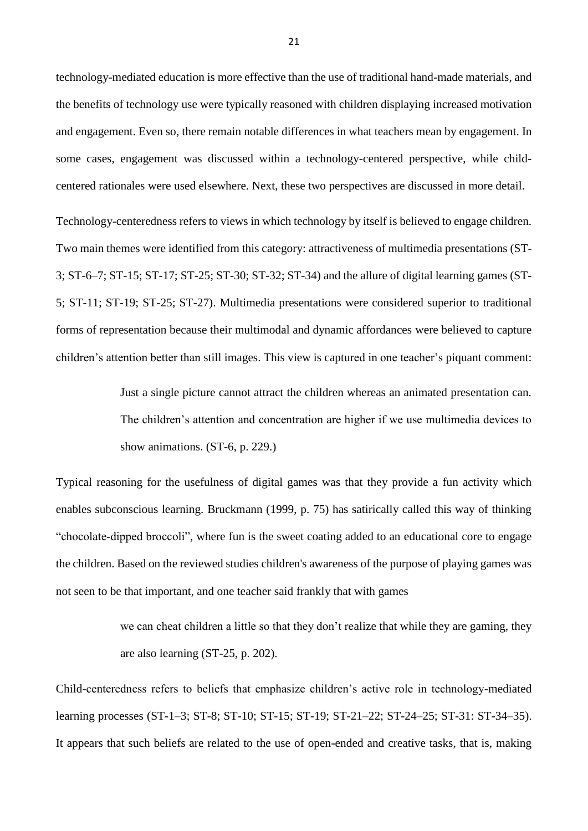technology-mediated education is more effective than the use of traditional hand-made materials, and the benefits of technology use were typically reasoned with children displaying increased motivation and engagement. Even so, there remain notable differences in what teachers mean by engagement. In some cases, engagement was discussed within a technology-centered perspective, while childcentered rationales were used elsewhere. Next, these two perspectives are discussed in more detail.

Technology-centeredness refers to views in which technology by itself is believed to engage children. Two main themes were identified from this category: attractiveness of multimedia presentations (ST-3; ST-6–7; ST-15; ST-17; ST-25; ST-30; ST-32; ST-34) and the allure of digital learning games (ST-5; ST-11; ST-19; ST-25; ST-27). Multimedia presentations were considered superior to traditional forms of representation because their multimodal and dynamic affordances were believed to capture children's attention better than still images. This view is captured in one teacher's piquant comment:

> Just a single picture cannot attract the children whereas an animated presentation can. The children's attention and concentration are higher if we use multimedia devices to show animations. (ST-6, p. 229.)

Typical reasoning for the usefulness of digital games was that they provide a fun activity which enables subconscious learning. Bruckmann (1999, p. 75) has satirically called this way of thinking "chocolate-dipped broccoli", where fun is the sweet coating added to an educational core to engage the children. Based on the reviewed studies children's awareness of the purpose of playing games was not seen to be that important, and one teacher said frankly that with games

> we can cheat children a little so that they don't realize that while they are gaming, they are also learning (ST-25, p. 202).

Child-centeredness refers to beliefs that emphasize children's active role in technology-mediated learning processes (ST-1–3; ST-8; ST-10; ST-15; ST-19; ST-21–22; ST-24–25; ST-31: ST-34–35). It appears that such beliefs are related to the use of open-ended and creative tasks, that is, making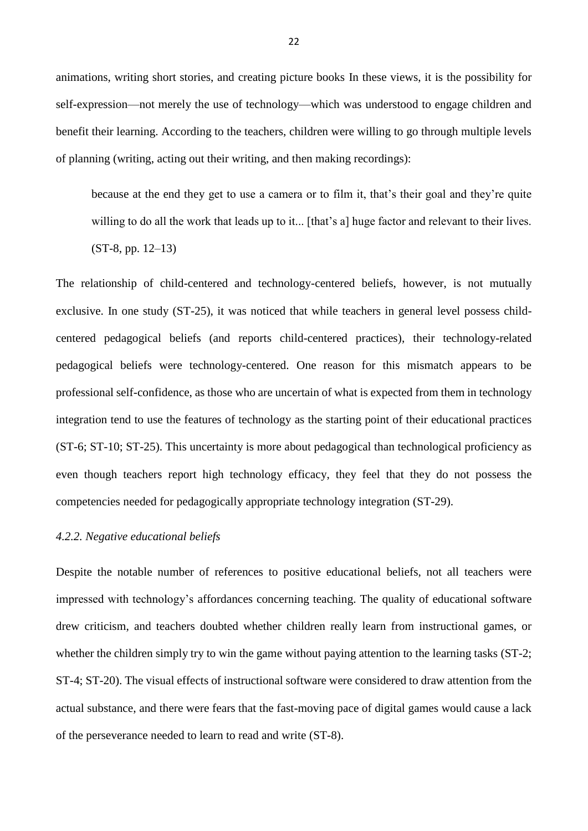animations, writing short stories, and creating picture books In these views, it is the possibility for self-expression—not merely the use of technology—which was understood to engage children and benefit their learning. According to the teachers, children were willing to go through multiple levels of planning (writing, acting out their writing, and then making recordings):

because at the end they get to use a camera or to film it, that's their goal and they're quite willing to do all the work that leads up to it... [that's a] huge factor and relevant to their lives. (ST-8, pp. 12–13)

The relationship of child-centered and technology-centered beliefs, however, is not mutually exclusive. In one study (ST-25), it was noticed that while teachers in general level possess childcentered pedagogical beliefs (and reports child-centered practices), their technology-related pedagogical beliefs were technology-centered. One reason for this mismatch appears to be professional self-confidence, as those who are uncertain of what is expected from them in technology integration tend to use the features of technology as the starting point of their educational practices (ST-6; ST-10; ST-25). This uncertainty is more about pedagogical than technological proficiency as even though teachers report high technology efficacy, they feel that they do not possess the competencies needed for pedagogically appropriate technology integration (ST-29).

## *4.2.2. Negative educational beliefs*

Despite the notable number of references to positive educational beliefs, not all teachers were impressed with technology's affordances concerning teaching. The quality of educational software drew criticism, and teachers doubted whether children really learn from instructional games, or whether the children simply try to win the game without paying attention to the learning tasks (ST-2; ST-4; ST-20). The visual effects of instructional software were considered to draw attention from the actual substance, and there were fears that the fast-moving pace of digital games would cause a lack of the perseverance needed to learn to read and write (ST-8).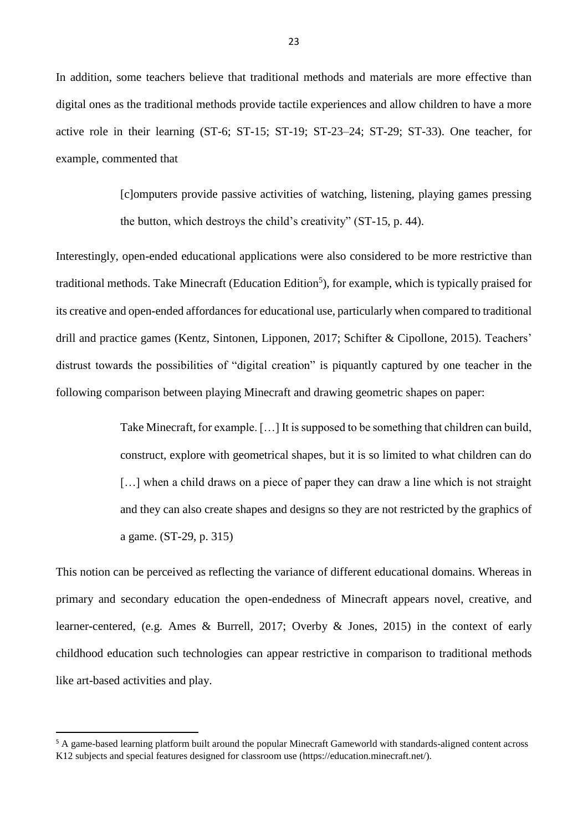In addition, some teachers believe that traditional methods and materials are more effective than digital ones as the traditional methods provide tactile experiences and allow children to have a more active role in their learning (ST-6; ST-15; ST-19; ST-23–24; ST-29; ST-33). One teacher, for example, commented that

> [c]omputers provide passive activities of watching, listening, playing games pressing the button, which destroys the child's creativity" (ST-15, p. 44).

Interestingly, open-ended educational applications were also considered to be more restrictive than traditional methods. Take Minecraft (Education Edition<sup>5</sup>), for example, which is typically praised for its creative and open-ended affordances for educational use, particularly when compared to traditional drill and practice games (Kentz, Sintonen, Lipponen, 2017; Schifter & Cipollone, 2015). Teachers' distrust towards the possibilities of "digital creation" is piquantly captured by one teacher in the following comparison between playing Minecraft and drawing geometric shapes on paper:

> Take Minecraft, for example. […] It is supposed to be something that children can build, construct, explore with geometrical shapes, but it is so limited to what children can do [...] when a child draws on a piece of paper they can draw a line which is not straight and they can also create shapes and designs so they are not restricted by the graphics of a game. (ST-29, p. 315)

This notion can be perceived as reflecting the variance of different educational domains. Whereas in primary and secondary education the open-endedness of Minecraft appears novel, creative, and learner-centered, (e.g. Ames & Burrell, 2017; Overby & Jones, 2015) in the context of early childhood education such technologies can appear restrictive in comparison to traditional methods like art-based activities and play.

 $\overline{\phantom{a}}$ 

<sup>&</sup>lt;sup>5</sup> A game-based learning platform built around the popular Minecraft Gameworld with standards-aligned content across K12 subjects and special features designed for classroom use (https://education.minecraft.net/).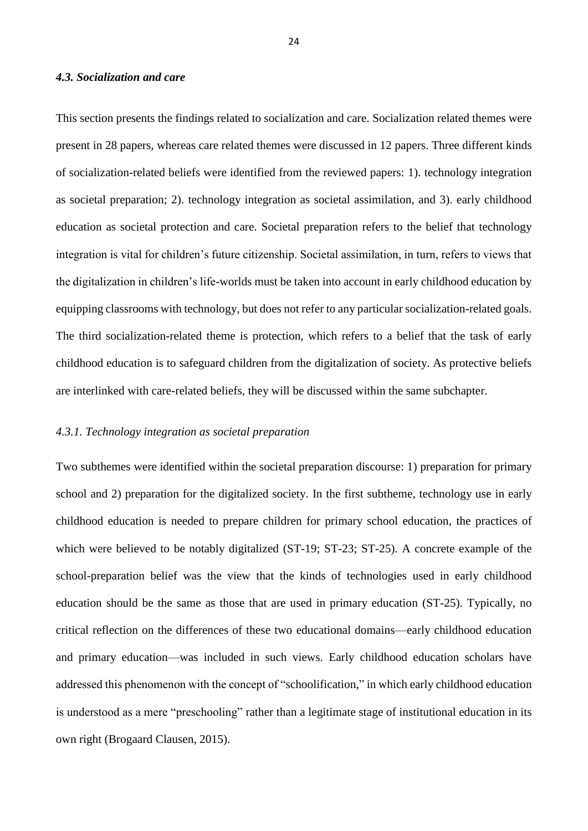## *4.3. Socialization and care*

This section presents the findings related to socialization and care. Socialization related themes were present in 28 papers, whereas care related themes were discussed in 12 papers. Three different kinds of socialization-related beliefs were identified from the reviewed papers: 1). technology integration as societal preparation; 2). technology integration as societal assimilation, and 3). early childhood education as societal protection and care. Societal preparation refers to the belief that technology integration is vital for children's future citizenship. Societal assimilation, in turn, refers to views that the digitalization in children's life-worlds must be taken into account in early childhood education by equipping classrooms with technology, but does not refer to any particular socialization-related goals. The third socialization-related theme is protection, which refers to a belief that the task of early childhood education is to safeguard children from the digitalization of society. As protective beliefs are interlinked with care-related beliefs, they will be discussed within the same subchapter.

#### *4.3.1. Technology integration as societal preparation*

Two subthemes were identified within the societal preparation discourse: 1) preparation for primary school and 2) preparation for the digitalized society. In the first subtheme, technology use in early childhood education is needed to prepare children for primary school education, the practices of which were believed to be notably digitalized (ST-19; ST-23; ST-25). A concrete example of the school-preparation belief was the view that the kinds of technologies used in early childhood education should be the same as those that are used in primary education (ST-25). Typically, no critical reflection on the differences of these two educational domains—early childhood education and primary education—was included in such views. Early childhood education scholars have addressed this phenomenon with the concept of "schoolification," in which early childhood education is understood as a mere "preschooling" rather than a legitimate stage of institutional education in its own right (Brogaard Clausen, 2015).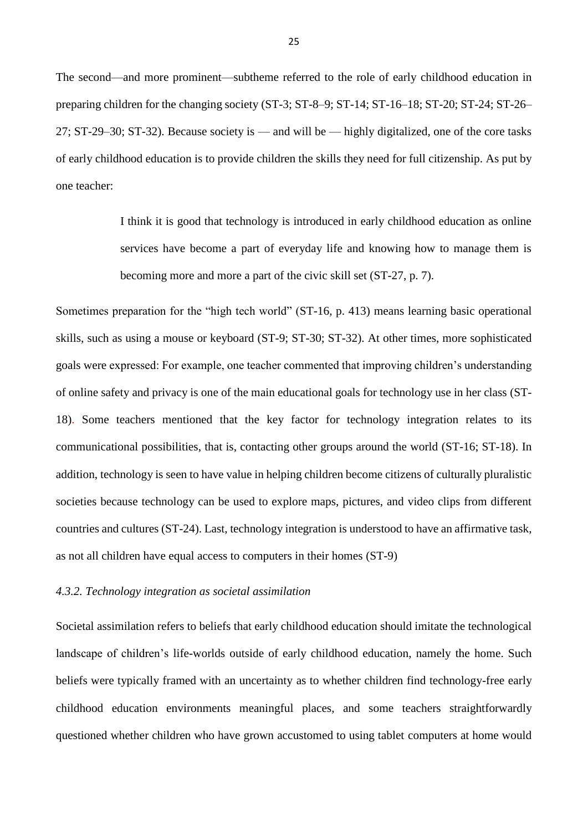The second—and more prominent—subtheme referred to the role of early childhood education in preparing children for the changing society (ST-3; ST-8–9; ST-14; ST-16–18; ST-20; ST-24; ST-26– 27; ST-29–30; ST-32). Because society is — and will be — highly digitalized, one of the core tasks of early childhood education is to provide children the skills they need for full citizenship. As put by one teacher:

> I think it is good that technology is introduced in early childhood education as online services have become a part of everyday life and knowing how to manage them is becoming more and more a part of the civic skill set (ST-27, p. 7).

Sometimes preparation for the "high tech world" (ST-16, p. 413) means learning basic operational skills, such as using a mouse or keyboard (ST-9; ST-30; ST-32). At other times, more sophisticated goals were expressed: For example, one teacher commented that improving children's understanding of online safety and privacy is one of the main educational goals for technology use in her class (ST-18). Some teachers mentioned that the key factor for technology integration relates to its communicational possibilities, that is, contacting other groups around the world (ST-16; ST-18). In addition, technology is seen to have value in helping children become citizens of culturally pluralistic societies because technology can be used to explore maps, pictures, and video clips from different countries and cultures (ST-24). Last, technology integration is understood to have an affirmative task, as not all children have equal access to computers in their homes (ST-9)

# *4.3.2. Technology integration as societal assimilation*

Societal assimilation refers to beliefs that early childhood education should imitate the technological landscape of children's life-worlds outside of early childhood education, namely the home. Such beliefs were typically framed with an uncertainty as to whether children find technology-free early childhood education environments meaningful places, and some teachers straightforwardly questioned whether children who have grown accustomed to using tablet computers at home would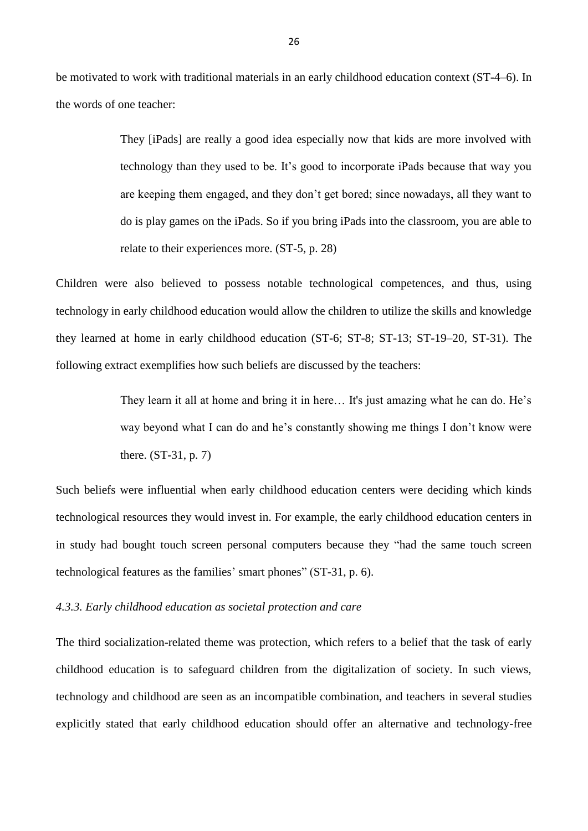be motivated to work with traditional materials in an early childhood education context (ST-4–6). In the words of one teacher:

> They [iPads] are really a good idea especially now that kids are more involved with technology than they used to be. It's good to incorporate iPads because that way you are keeping them engaged, and they don't get bored; since nowadays, all they want to do is play games on the iPads. So if you bring iPads into the classroom, you are able to relate to their experiences more. (ST-5, p. 28)

Children were also believed to possess notable technological competences, and thus, using technology in early childhood education would allow the children to utilize the skills and knowledge they learned at home in early childhood education (ST-6; ST-8; ST-13; ST-19–20, ST-31). The following extract exemplifies how such beliefs are discussed by the teachers:

> They learn it all at home and bring it in here… It's just amazing what he can do. He's way beyond what I can do and he's constantly showing me things I don't know were there. (ST-31, p. 7)

Such beliefs were influential when early childhood education centers were deciding which kinds technological resources they would invest in. For example, the early childhood education centers in in study had bought touch screen personal computers because they "had the same touch screen technological features as the families' smart phones" (ST-31, p. 6).

#### *4.3.3. Early childhood education as societal protection and care*

The third socialization-related theme was protection, which refers to a belief that the task of early childhood education is to safeguard children from the digitalization of society. In such views, technology and childhood are seen as an incompatible combination, and teachers in several studies explicitly stated that early childhood education should offer an alternative and technology-free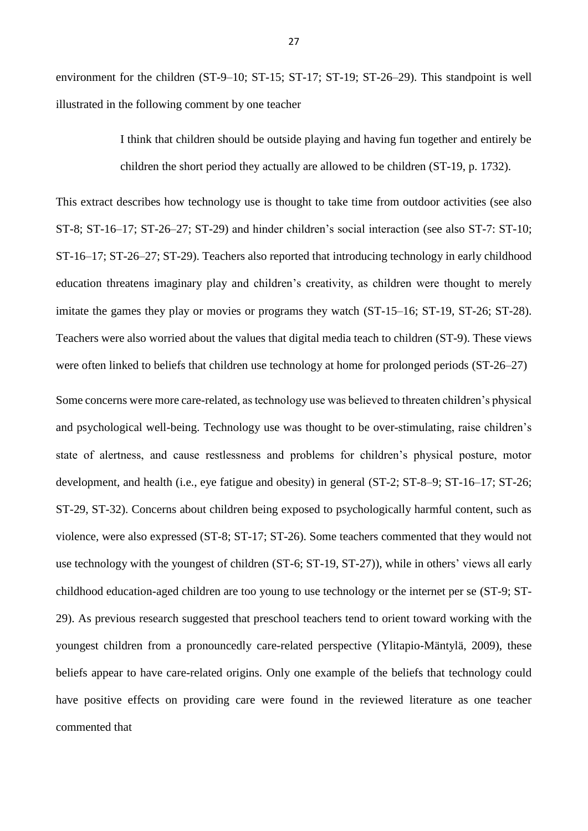environment for the children (ST-9–10; ST-15; ST-17; ST-19; ST-26–29). This standpoint is well illustrated in the following comment by one teacher

> I think that children should be outside playing and having fun together and entirely be children the short period they actually are allowed to be children (ST-19, p. 1732).

This extract describes how technology use is thought to take time from outdoor activities (see also ST-8; ST-16–17; ST-26–27; ST-29) and hinder children's social interaction (see also ST-7: ST-10; ST-16–17; ST-26–27; ST-29). Teachers also reported that introducing technology in early childhood education threatens imaginary play and children's creativity, as children were thought to merely imitate the games they play or movies or programs they watch (ST-15–16; ST-19, ST-26; ST-28). Teachers were also worried about the values that digital media teach to children (ST-9). These views were often linked to beliefs that children use technology at home for prolonged periods (ST-26–27)

Some concerns were more care-related, as technology use was believed to threaten children's physical and psychological well-being. Technology use was thought to be over-stimulating, raise children's state of alertness, and cause restlessness and problems for children's physical posture, motor development, and health (i.e., eye fatigue and obesity) in general (ST-2; ST-8–9; ST-16–17; ST-26; ST-29, ST-32). Concerns about children being exposed to psychologically harmful content, such as violence, were also expressed (ST-8; ST-17; ST-26). Some teachers commented that they would not use technology with the youngest of children (ST-6; ST-19, ST-27)), while in others' views all early childhood education-aged children are too young to use technology or the internet per se (ST-9; ST-29). As previous research suggested that preschool teachers tend to orient toward working with the youngest children from a pronouncedly care-related perspective (Ylitapio-Mäntylä, 2009), these beliefs appear to have care-related origins. Only one example of the beliefs that technology could have positive effects on providing care were found in the reviewed literature as one teacher commented that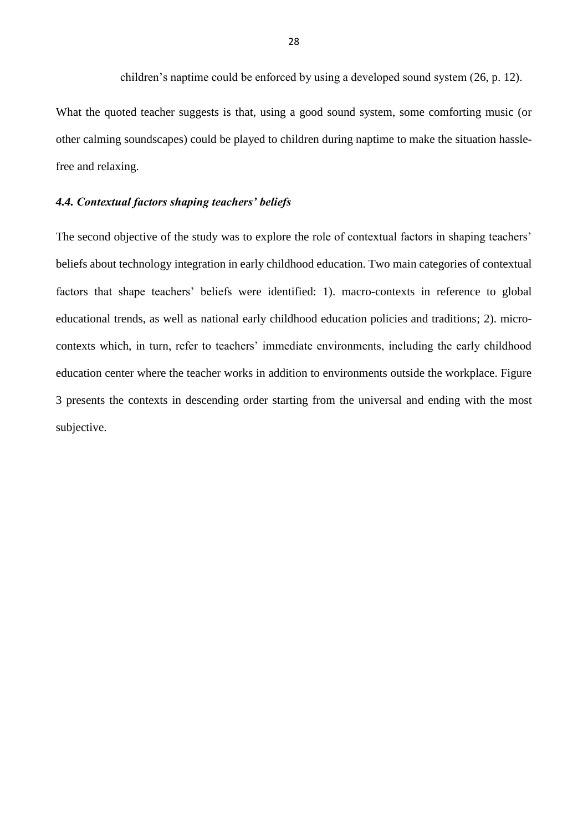children's naptime could be enforced by using a developed sound system (26, p. 12).

What the quoted teacher suggests is that, using a good sound system, some comforting music (or other calming soundscapes) could be played to children during naptime to make the situation hasslefree and relaxing.

# *4.4. Contextual factors shaping teachers' beliefs*

The second objective of the study was to explore the role of contextual factors in shaping teachers' beliefs about technology integration in early childhood education. Two main categories of contextual factors that shape teachers' beliefs were identified: 1). macro-contexts in reference to global educational trends, as well as national early childhood education policies and traditions; 2). microcontexts which, in turn, refer to teachers' immediate environments, including the early childhood education center where the teacher works in addition to environments outside the workplace. Figure 3 presents the contexts in descending order starting from the universal and ending with the most subjective.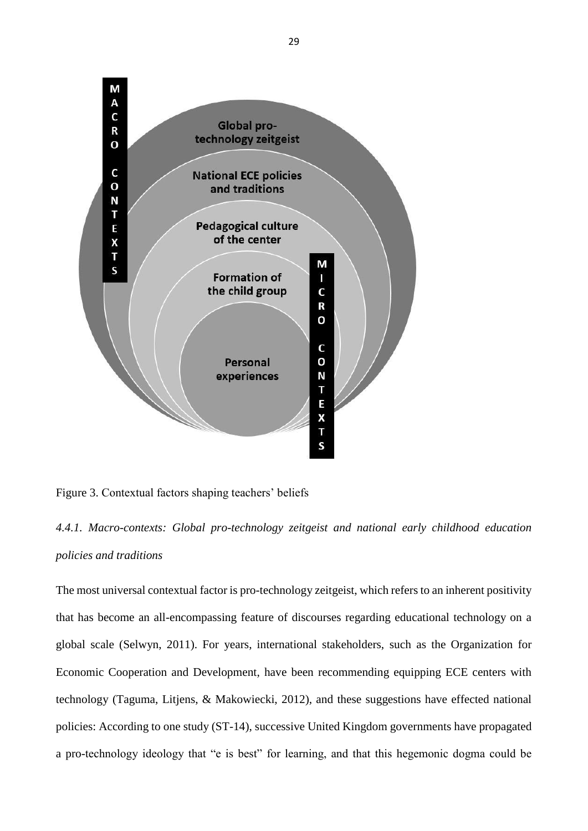

Figure 3. Contextual factors shaping teachers' beliefs

# *4.4.1. Macro-contexts: Global pro-technology zeitgeist and national early childhood education policies and traditions*

The most universal contextual factor is pro-technology zeitgeist, which refers to an inherent positivity that has become an all-encompassing feature of discourses regarding educational technology on a global scale (Selwyn, 2011). For years, international stakeholders, such as the Organization for Economic Cooperation and Development, have been recommending equipping ECE centers with technology (Taguma, Litjens, & Makowiecki, 2012), and these suggestions have effected national policies: According to one study (ST-14), successive United Kingdom governments have propagated a pro-technology ideology that "e is best" for learning, and that this hegemonic dogma could be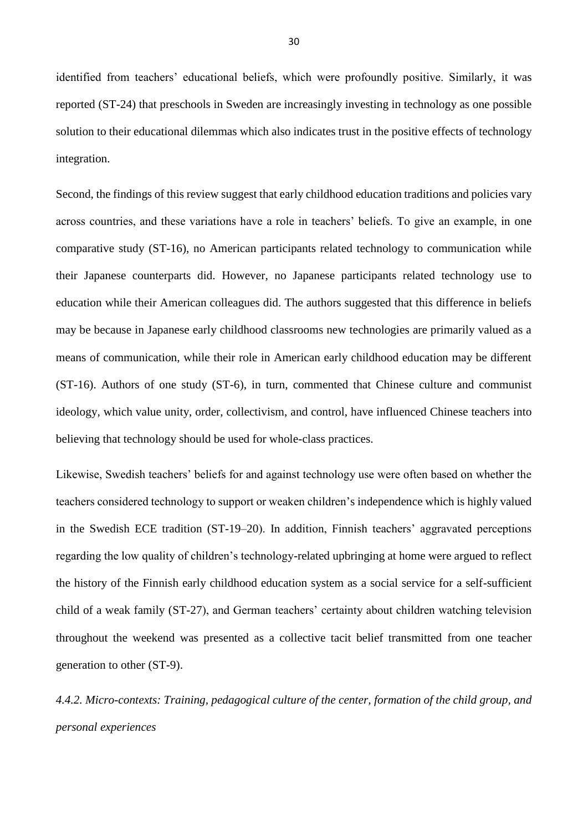identified from teachers' educational beliefs, which were profoundly positive. Similarly, it was reported (ST-24) that preschools in Sweden are increasingly investing in technology as one possible solution to their educational dilemmas which also indicates trust in the positive effects of technology integration.

Second, the findings of this review suggest that early childhood education traditions and policies vary across countries, and these variations have a role in teachers' beliefs. To give an example, in one comparative study (ST-16), no American participants related technology to communication while their Japanese counterparts did. However, no Japanese participants related technology use to education while their American colleagues did. The authors suggested that this difference in beliefs may be because in Japanese early childhood classrooms new technologies are primarily valued as a means of communication, while their role in American early childhood education may be different (ST-16). Authors of one study (ST-6), in turn, commented that Chinese culture and communist ideology, which value unity, order, collectivism, and control, have influenced Chinese teachers into believing that technology should be used for whole-class practices.

Likewise, Swedish teachers' beliefs for and against technology use were often based on whether the teachers considered technology to support or weaken children's independence which is highly valued in the Swedish ECE tradition (ST-19–20). In addition, Finnish teachers' aggravated perceptions regarding the low quality of children's technology-related upbringing at home were argued to reflect the history of the Finnish early childhood education system as a social service for a self-sufficient child of a weak family (ST-27), and German teachers' certainty about children watching television throughout the weekend was presented as a collective tacit belief transmitted from one teacher generation to other (ST-9).

*4.4.2. Micro-contexts: Training, pedagogical culture of the center, formation of the child group, and personal experiences*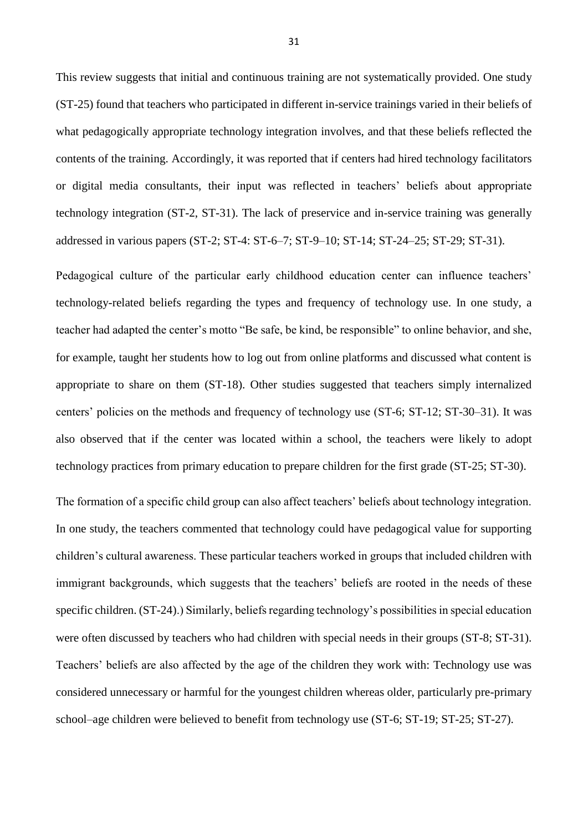This review suggests that initial and continuous training are not systematically provided. One study (ST-25) found that teachers who participated in different in-service trainings varied in their beliefs of what pedagogically appropriate technology integration involves, and that these beliefs reflected the contents of the training. Accordingly, it was reported that if centers had hired technology facilitators or digital media consultants, their input was reflected in teachers' beliefs about appropriate technology integration (ST-2, ST-31). The lack of preservice and in-service training was generally addressed in various papers (ST-2; ST-4: ST-6–7; ST-9–10; ST-14; ST-24–25; ST-29; ST-31).

Pedagogical culture of the particular early childhood education center can influence teachers' technology-related beliefs regarding the types and frequency of technology use. In one study, a teacher had adapted the center's motto "Be safe, be kind, be responsible" to online behavior, and she, for example, taught her students how to log out from online platforms and discussed what content is appropriate to share on them (ST-18). Other studies suggested that teachers simply internalized centers' policies on the methods and frequency of technology use (ST-6; ST-12; ST-30–31). It was also observed that if the center was located within a school, the teachers were likely to adopt technology practices from primary education to prepare children for the first grade (ST-25; ST-30).

The formation of a specific child group can also affect teachers' beliefs about technology integration. In one study, the teachers commented that technology could have pedagogical value for supporting children's cultural awareness. These particular teachers worked in groups that included children with immigrant backgrounds, which suggests that the teachers' beliefs are rooted in the needs of these specific children. (ST-24).) Similarly, beliefs regarding technology's possibilities in special education were often discussed by teachers who had children with special needs in their groups (ST-8; ST-31). Teachers' beliefs are also affected by the age of the children they work with: Technology use was considered unnecessary or harmful for the youngest children whereas older, particularly pre-primary school–age children were believed to benefit from technology use (ST-6; ST-19; ST-25; ST-27).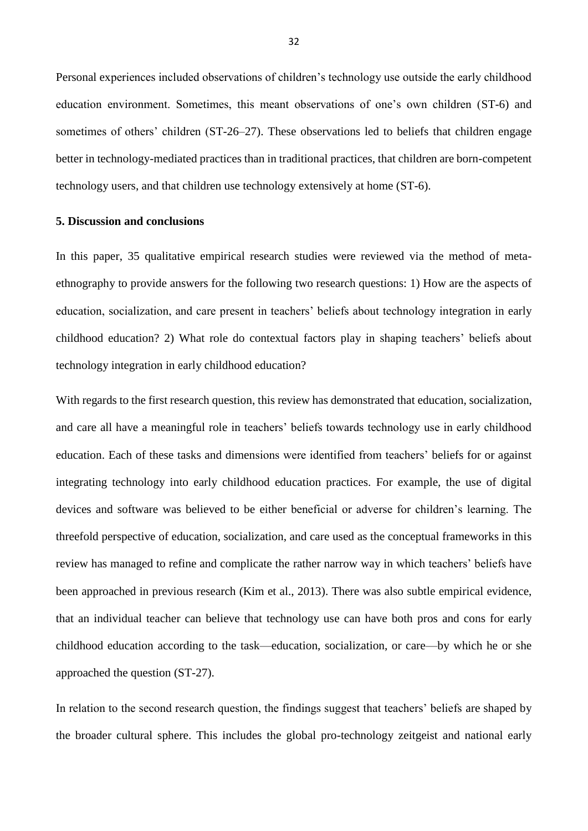Personal experiences included observations of children's technology use outside the early childhood education environment. Sometimes, this meant observations of one's own children (ST-6) and sometimes of others' children (ST-26–27). These observations led to beliefs that children engage better in technology-mediated practices than in traditional practices, that children are born-competent technology users, and that children use technology extensively at home (ST-6).

#### **5. Discussion and conclusions**

In this paper, 35 qualitative empirical research studies were reviewed via the method of metaethnography to provide answers for the following two research questions: 1) How are the aspects of education, socialization, and care present in teachers' beliefs about technology integration in early childhood education? 2) What role do contextual factors play in shaping teachers' beliefs about technology integration in early childhood education?

With regards to the first research question, this review has demonstrated that education, socialization, and care all have a meaningful role in teachers' beliefs towards technology use in early childhood education. Each of these tasks and dimensions were identified from teachers' beliefs for or against integrating technology into early childhood education practices. For example, the use of digital devices and software was believed to be either beneficial or adverse for children's learning. The threefold perspective of education, socialization, and care used as the conceptual frameworks in this review has managed to refine and complicate the rather narrow way in which teachers' beliefs have been approached in previous research (Kim et al., 2013). There was also subtle empirical evidence, that an individual teacher can believe that technology use can have both pros and cons for early childhood education according to the task—education, socialization, or care—by which he or she approached the question (ST-27).

In relation to the second research question, the findings suggest that teachers' beliefs are shaped by the broader cultural sphere. This includes the global pro-technology zeitgeist and national early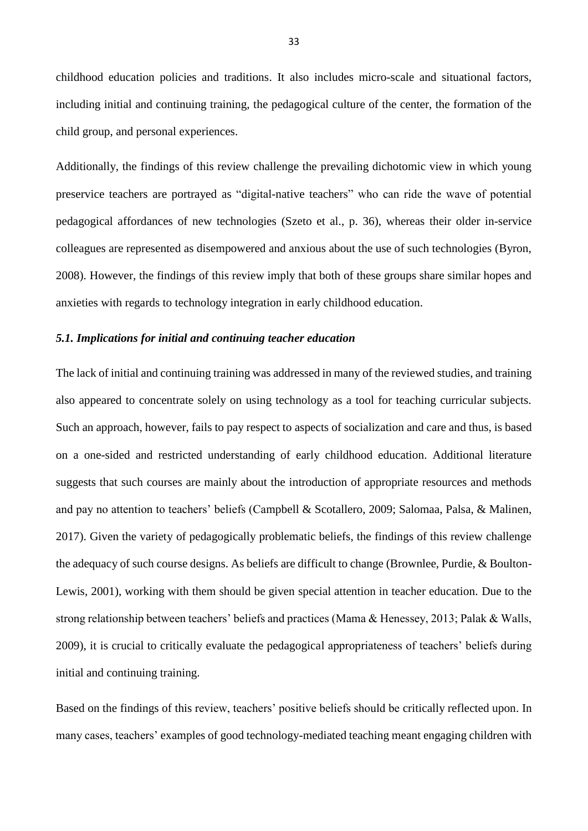childhood education policies and traditions. It also includes micro-scale and situational factors, including initial and continuing training, the pedagogical culture of the center, the formation of the child group, and personal experiences.

Additionally, the findings of this review challenge the prevailing dichotomic view in which young preservice teachers are portrayed as "digital-native teachers" who can ride the wave of potential pedagogical affordances of new technologies (Szeto et al., p. 36), whereas their older in-service colleagues are represented as disempowered and anxious about the use of such technologies (Byron, 2008). However, the findings of this review imply that both of these groups share similar hopes and anxieties with regards to technology integration in early childhood education.

#### *5.1. Implications for initial and continuing teacher education*

The lack of initial and continuing training was addressed in many of the reviewed studies, and training also appeared to concentrate solely on using technology as a tool for teaching curricular subjects. Such an approach, however, fails to pay respect to aspects of socialization and care and thus, is based on a one-sided and restricted understanding of early childhood education. Additional literature suggests that such courses are mainly about the introduction of appropriate resources and methods and pay no attention to teachers' beliefs (Campbell & Scotallero, 2009; Salomaa, Palsa, & Malinen, 2017). Given the variety of pedagogically problematic beliefs, the findings of this review challenge the adequacy of such course designs. As beliefs are difficult to change (Brownlee, Purdie, & Boulton-Lewis, 2001), working with them should be given special attention in teacher education. Due to the strong relationship between teachers' beliefs and practices (Mama & Henessey, 2013; Palak & Walls, 2009), it is crucial to critically evaluate the pedagogical appropriateness of teachers' beliefs during initial and continuing training.

Based on the findings of this review, teachers' positive beliefs should be critically reflected upon. In many cases, teachers' examples of good technology-mediated teaching meant engaging children with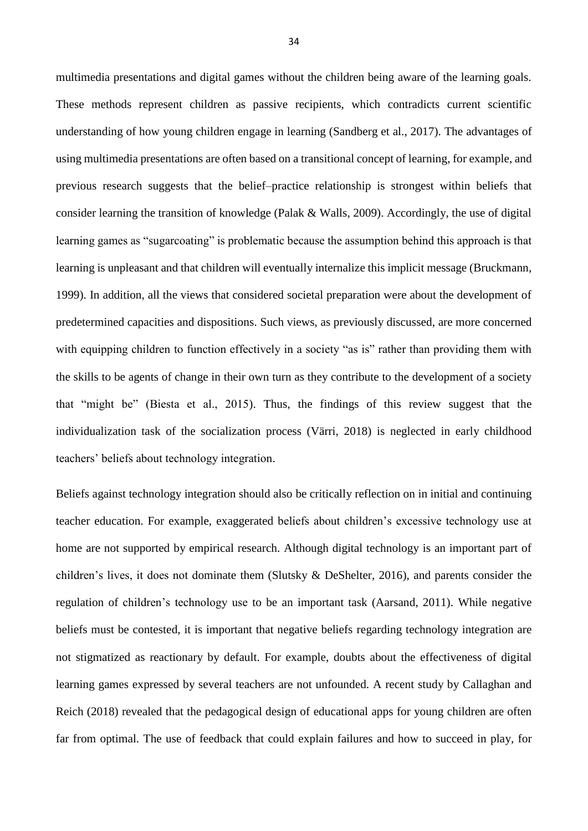multimedia presentations and digital games without the children being aware of the learning goals. These methods represent children as passive recipients, which contradicts current scientific understanding of how young children engage in learning (Sandberg et al., 2017). The advantages of using multimedia presentations are often based on a transitional concept of learning, for example, and previous research suggests that the belief–practice relationship is strongest within beliefs that consider learning the transition of knowledge (Palak & Walls, 2009). Accordingly, the use of digital learning games as "sugarcoating" is problematic because the assumption behind this approach is that learning is unpleasant and that children will eventually internalize this implicit message (Bruckmann, 1999). In addition, all the views that considered societal preparation were about the development of predetermined capacities and dispositions. Such views, as previously discussed, are more concerned with equipping children to function effectively in a society "as is" rather than providing them with the skills to be agents of change in their own turn as they contribute to the development of a society that "might be" (Biesta et al., 2015). Thus, the findings of this review suggest that the individualization task of the socialization process (Värri, 2018) is neglected in early childhood teachers' beliefs about technology integration.

Beliefs against technology integration should also be critically reflection on in initial and continuing teacher education. For example, exaggerated beliefs about children's excessive technology use at home are not supported by empirical research. Although digital technology is an important part of children's lives, it does not dominate them (Slutsky & DeShelter, 2016), and parents consider the regulation of children's technology use to be an important task (Aarsand, 2011). While negative beliefs must be contested, it is important that negative beliefs regarding technology integration are not stigmatized as reactionary by default. For example, doubts about the effectiveness of digital learning games expressed by several teachers are not unfounded. A recent study by Callaghan and Reich (2018) revealed that the pedagogical design of educational apps for young children are often far from optimal. The use of feedback that could explain failures and how to succeed in play, for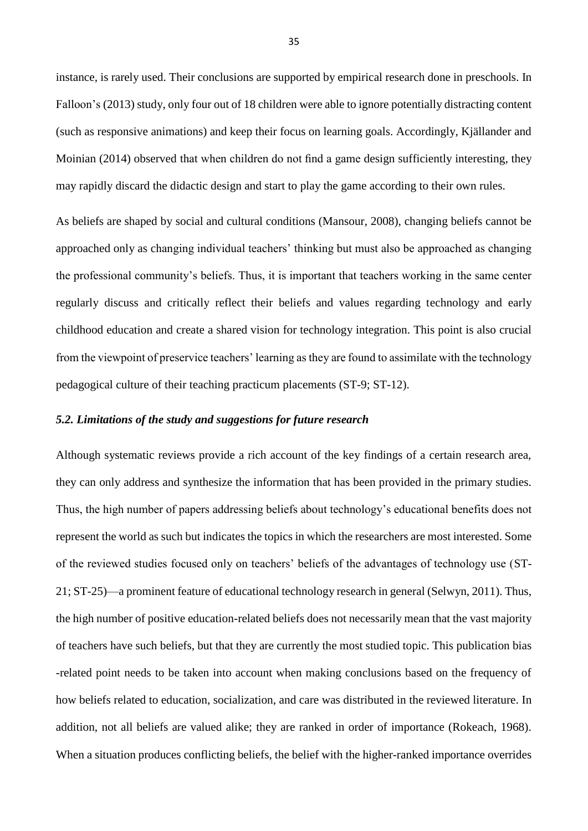instance, is rarely used. Their conclusions are supported by empirical research done in preschools. In Falloon's (2013) study, only four out of 18 children were able to ignore potentially distracting content (such as responsive animations) and keep their focus on learning goals. Accordingly, Kjällander and Moinian (2014) observed that when children do not find a game design sufficiently interesting, they may rapidly discard the didactic design and start to play the game according to their own rules.

As beliefs are shaped by social and cultural conditions (Mansour, 2008), changing beliefs cannot be approached only as changing individual teachers' thinking but must also be approached as changing the professional community's beliefs. Thus, it is important that teachers working in the same center regularly discuss and critically reflect their beliefs and values regarding technology and early childhood education and create a shared vision for technology integration. This point is also crucial from the viewpoint of preservice teachers' learning as they are found to assimilate with the technology pedagogical culture of their teaching practicum placements (ST-9; ST-12).

# *5.2. Limitations of the study and suggestions for future research*

Although systematic reviews provide a rich account of the key findings of a certain research area, they can only address and synthesize the information that has been provided in the primary studies. Thus, the high number of papers addressing beliefs about technology's educational benefits does not represent the world as such but indicates the topics in which the researchers are most interested. Some of the reviewed studies focused only on teachers' beliefs of the advantages of technology use (ST-21; ST-25)—a prominent feature of educational technology research in general (Selwyn, 2011). Thus, the high number of positive education-related beliefs does not necessarily mean that the vast majority of teachers have such beliefs, but that they are currently the most studied topic. This publication bias -related point needs to be taken into account when making conclusions based on the frequency of how beliefs related to education, socialization, and care was distributed in the reviewed literature. In addition, not all beliefs are valued alike; they are ranked in order of importance (Rokeach, 1968). When a situation produces conflicting beliefs, the belief with the higher-ranked importance overrides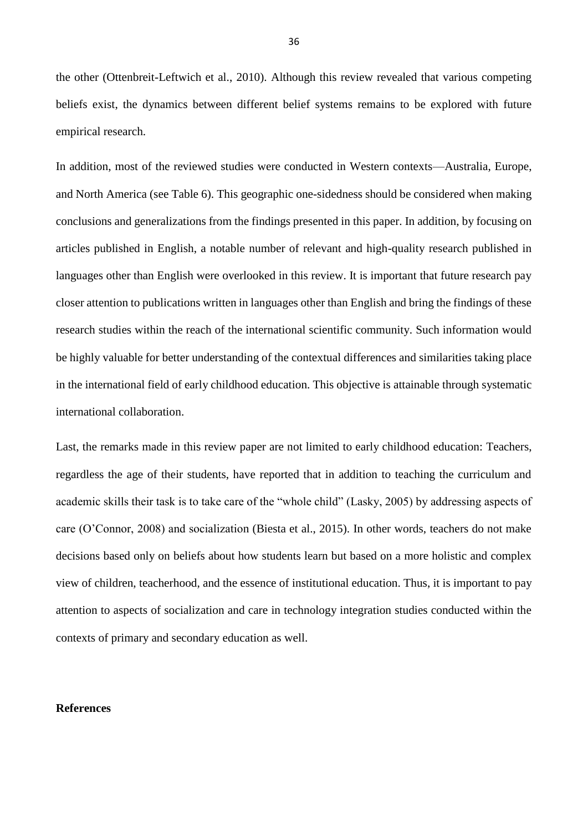the other (Ottenbreit-Leftwich et al., 2010). Although this review revealed that various competing beliefs exist, the dynamics between different belief systems remains to be explored with future empirical research.

In addition, most of the reviewed studies were conducted in Western contexts—Australia, Europe, and North America (see Table 6). This geographic one-sidedness should be considered when making conclusions and generalizations from the findings presented in this paper. In addition, by focusing on articles published in English, a notable number of relevant and high-quality research published in languages other than English were overlooked in this review. It is important that future research pay closer attention to publications written in languages other than English and bring the findings of these research studies within the reach of the international scientific community. Such information would be highly valuable for better understanding of the contextual differences and similarities taking place in the international field of early childhood education. This objective is attainable through systematic international collaboration.

Last, the remarks made in this review paper are not limited to early childhood education: Teachers, regardless the age of their students, have reported that in addition to teaching the curriculum and academic skills their task is to take care of the "whole child" (Lasky, 2005) by addressing aspects of care (O'Connor, 2008) and socialization (Biesta et al., 2015). In other words, teachers do not make decisions based only on beliefs about how students learn but based on a more holistic and complex view of children, teacherhood, and the essence of institutional education. Thus, it is important to pay attention to aspects of socialization and care in technology integration studies conducted within the contexts of primary and secondary education as well.

# **References**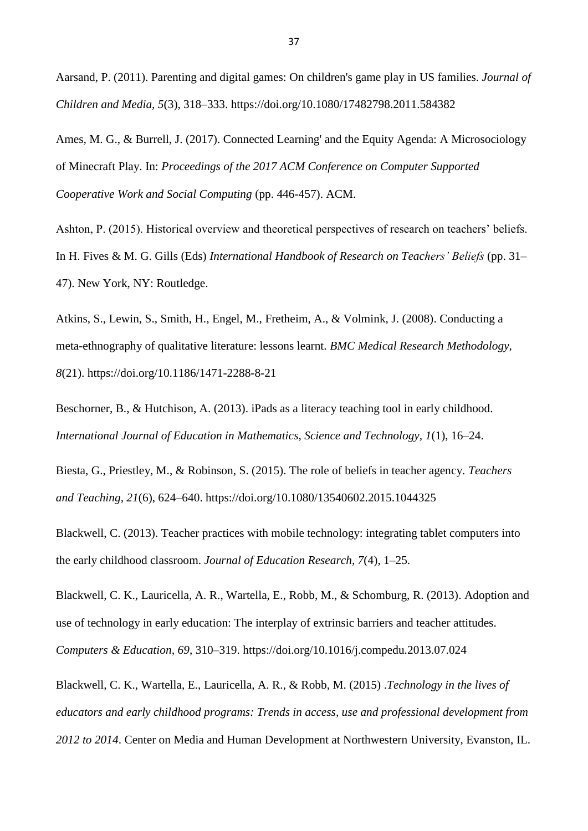Aarsand, P. (2011). Parenting and digital games: On children's game play in US families. *Journal of Children and Media, 5*(3), 318–333. https://doi.org/10.1080/17482798.2011.584382

Ames, M. G., & Burrell, J. (2017). Connected Learning' and the Equity Agenda: A Microsociology of Minecraft Play. In: *Proceedings of the 2017 ACM Conference on Computer Supported Cooperative Work and Social Computing* (pp. 446-457). ACM.

Ashton, P. (2015). Historical overview and theoretical perspectives of research on teachers' beliefs. In H. Fives & M. G. Gills (Eds) *International Handbook of Research on Teachers' Beliefs* (pp. 31– 47). New York, NY: Routledge.

Atkins, S., Lewin, S., Smith, H., Engel, M., Fretheim, A., & Volmink, J. (2008). Conducting a meta-ethnography of qualitative literature: lessons learnt. *BMC Medical Research Methodology, 8*(21). https://doi.org/10.1186/1471-2288-8-21

Beschorner, B., & Hutchison, A. (2013). iPads as a literacy teaching tool in early childhood. *International Journal of Education in Mathematics, Science and Technology, 1*(1), 16–24.

Biesta, G., Priestley, M., & Robinson, S. (2015). The role of beliefs in teacher agency. *Teachers and Teaching, 21*(6), 624–640. https://doi.org/10.1080/13540602.2015.1044325

Blackwell, C. (2013). Teacher practices with mobile technology: integrating tablet computers into the early childhood classroom. *Journal of Education Research, 7*(4), 1–25.

Blackwell, C. K., Lauricella, A. R., Wartella, E., Robb, M., & Schomburg, R. (2013). Adoption and use of technology in early education: The interplay of extrinsic barriers and teacher attitudes. *Computers & Education, 69*, 310–319. https://doi.org/10.1016/j.compedu.2013.07.024

Blackwell, C. K., Wartella, E., Lauricella, A. R., & Robb, M. (2015) .*Technology in the lives of educators and early childhood programs: Trends in access, use and professional development from 2012 to 2014*. Center on Media and Human Development at Northwestern University, Evanston, IL.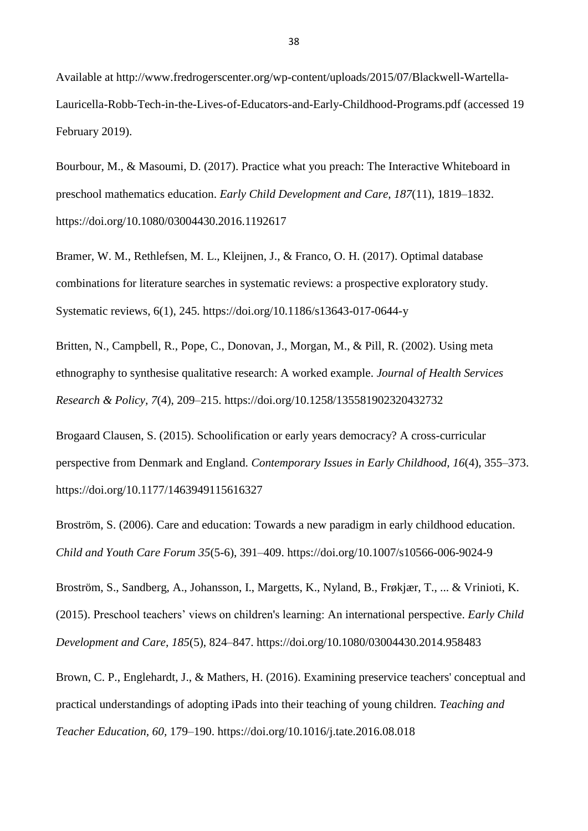Available at http://www.fredrogerscenter.org/wp-content/uploads/2015/07/Blackwell-Wartella-Lauricella-Robb-Tech-in-the-Lives-of-Educators-and-Early-Childhood-Programs.pdf (accessed 19 February 2019).

Bourbour, M., & Masoumi, D. (2017). Practice what you preach: The Interactive Whiteboard in preschool mathematics education. *Early Child Development and Care, 187*(11), 1819–1832. https://doi.org/10.1080/03004430.2016.1192617

Bramer, W. M., Rethlefsen, M. L., Kleijnen, J., & Franco, O. H. (2017). Optimal database combinations for literature searches in systematic reviews: a prospective exploratory study. Systematic reviews, 6(1), 245. https://doi.org/10.1186/s13643-017-0644-y

Britten, N., Campbell, R., Pope, C., Donovan, J., Morgan, M., & Pill, R. (2002). Using meta ethnography to synthesise qualitative research: A worked example. *Journal of Health Services Research & Policy, 7*(4), 209–215. https://doi.org/10.1258/135581902320432732

Brogaard Clausen, S. (2015). Schoolification or early years democracy? A cross-curricular perspective from Denmark and England. *Contemporary Issues in Early Childhood, 16*(4), 355–373. https://doi.org/10.1177/1463949115616327

Broström, S. (2006). Care and education: Towards a new paradigm in early childhood education. *Child and Youth Care Forum 35*(5-6), 391–409. https://doi.org/10.1007/s10566-006-9024-9

Broström, S., Sandberg, A., Johansson, I., Margetts, K., Nyland, B., Frøkjær, T., ... & Vrinioti, K. (2015). Preschool teachers' views on children's learning: An international perspective. *Early Child Development and Care, 185*(5), 824–847. https://doi.org/10.1080/03004430.2014.958483

Brown, C. P., Englehardt, J., & Mathers, H. (2016). Examining preservice teachers' conceptual and practical understandings of adopting iPads into their teaching of young children. *Teaching and Teacher Education, 60,* 179–190. https://doi.org/10.1016/j.tate.2016.08.018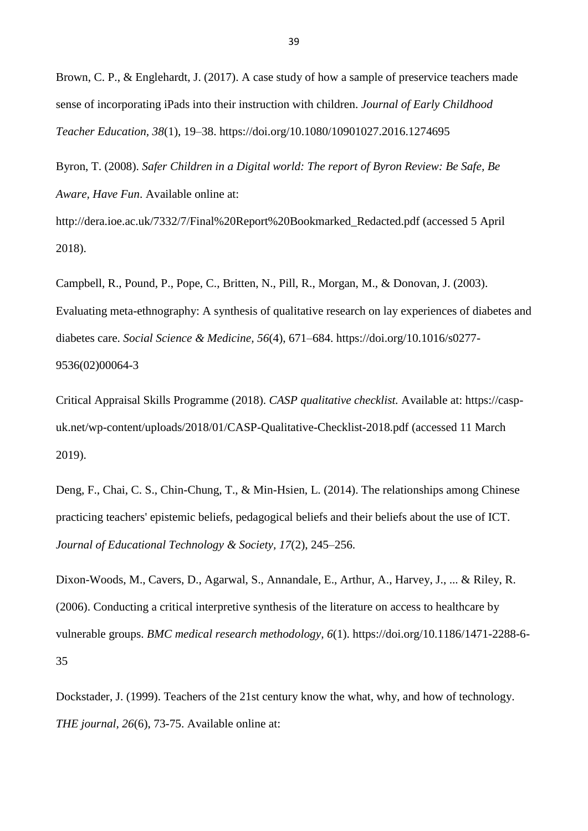Brown, C. P., & Englehardt, J. (2017). A case study of how a sample of preservice teachers made sense of incorporating iPads into their instruction with children. *Journal of Early Childhood Teacher Education, 38*(1), 19–38. https://doi.org/10.1080/10901027.2016.1274695

Byron, T. (2008). *Safer Children in a Digital world: The report of Byron Review: Be Safe, Be Aware, Have Fun*. Available online at:

http://dera.ioe.ac.uk/7332/7/Final%20Report%20Bookmarked\_Redacted.pdf (accessed 5 April 2018).

Campbell, R., Pound, P., Pope, C., Britten, N., Pill, R., Morgan, M., & Donovan, J. (2003). Evaluating meta-ethnography: A synthesis of qualitative research on lay experiences of diabetes and diabetes care. *Social Science & Medicine, 56*(4), 671–684. https://doi.org/10.1016/s0277- 9536(02)00064-3

Critical Appraisal Skills Programme (2018). *CASP qualitative checklist.* Available at: https://caspuk.net/wp-content/uploads/2018/01/CASP-Qualitative-Checklist-2018.pdf (accessed 11 March 2019).

Deng, F., Chai, C. S., Chin-Chung, T., & Min-Hsien, L. (2014). The relationships among Chinese practicing teachers' epistemic beliefs, pedagogical beliefs and their beliefs about the use of ICT. *Journal of Educational Technology & Society, 17*(2), 245–256.

Dixon-Woods, M., Cavers, D., Agarwal, S., Annandale, E., Arthur, A., Harvey, J., ... & Riley, R. (2006). Conducting a critical interpretive synthesis of the literature on access to healthcare by vulnerable groups. *BMC medical research methodology, 6*(1). https://doi.org/10.1186/1471-2288-6- 35

Dockstader, J. (1999). Teachers of the 21st century know the what, why, and how of technology. *THE journal, 26*(6), 73-75. Available online at: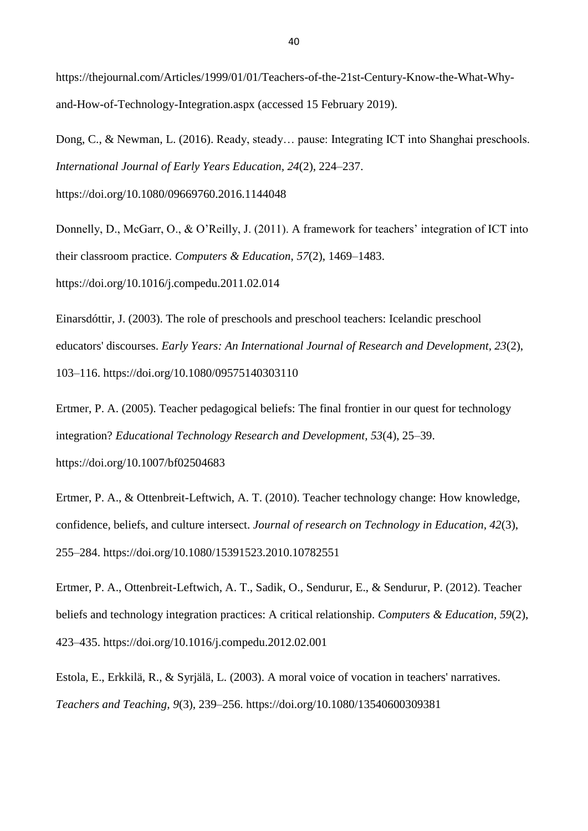https://thejournal.com/Articles/1999/01/01/Teachers-of-the-21st-Century-Know-the-What-Whyand-How-of-Technology-Integration.aspx (accessed 15 February 2019).

Dong, C., & Newman, L. (2016). Ready, steady… pause: Integrating ICT into Shanghai preschools. *International Journal of Early Years Education, 24*(2), 224–237. https://doi.org/10.1080/09669760.2016.1144048

Donnelly, D., McGarr, O., & O'Reilly, J. (2011). A framework for teachers' integration of ICT into

their classroom practice. *Computers & Education*, *57*(2), 1469–1483.

https://doi.org/10.1016/j.compedu.2011.02.014

Einarsdóttir, J. (2003). The role of preschools and preschool teachers: Icelandic preschool educators' discourses. *Early Years: An International Journal of Research and Development, 23*(2), 103–116. https://doi.org/10.1080/09575140303110

Ertmer, P. A. (2005). Teacher pedagogical beliefs: The final frontier in our quest for technology integration? *Educational Technology Research and Development, 53*(4), 25–39. https://doi.org/10.1007/bf02504683

Ertmer, P. A., & Ottenbreit-Leftwich, A. T. (2010). Teacher technology change: How knowledge, confidence, beliefs, and culture intersect. *Journal of research on Technology in Education, 42*(3), 255–284. https://doi.org/10.1080/15391523.2010.10782551

Ertmer, P. A., Ottenbreit-Leftwich, A. T., Sadik, O., Sendurur, E., & Sendurur, P. (2012). Teacher beliefs and technology integration practices: A critical relationship. *Computers & Education, 59*(2), 423–435. https://doi.org/10.1016/j.compedu.2012.02.001

Estola, E., Erkkilä, R., & Syrjälä, L. (2003). A moral voice of vocation in teachers' narratives. *Teachers and Teaching, 9*(3), 239–256. https://doi.org/10.1080/13540600309381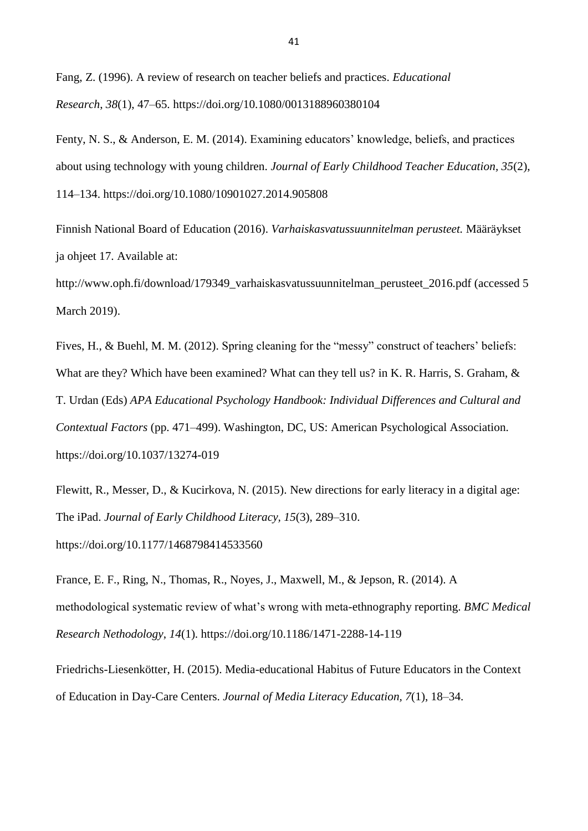Fang, Z. (1996). A review of research on teacher beliefs and practices. *Educational Research*, *38*(1), 47–65. https://doi.org/10.1080/0013188960380104

Fenty, N. S., & Anderson, E. M. (2014). Examining educators' knowledge, beliefs, and practices about using technology with young children. *Journal of Early Childhood Teacher Education, 35*(2), 114–134. https://doi.org/10.1080/10901027.2014.905808

Finnish National Board of Education (2016). *Varhaiskasvatussuunnitelman perusteet.* Määräykset ja ohjeet 17. Available at:

http://www.oph.fi/download/179349\_varhaiskasvatussuunnitelman\_perusteet\_2016.pdf (accessed 5 March 2019).

Fives, H., & Buehl, M. M. (2012). Spring cleaning for the "messy" construct of teachers' beliefs: What are they? Which have been examined? What can they tell us? in K. R. Harris, S. Graham, & T. Urdan (Eds) *APA Educational Psychology Handbook: Individual Differences and Cultural and Contextual Factors* (pp. 471–499). Washington, DC, US: American Psychological Association. https://doi.org/10.1037/13274-019

Flewitt, R., Messer, D., & Kucirkova, N. (2015). New directions for early literacy in a digital age: The iPad. *Journal of Early Childhood Literacy, 15*(3), 289–310. https://doi.org/10.1177/1468798414533560

France, E. F., Ring, N., Thomas, R., Noyes, J., Maxwell, M., & Jepson, R. (2014). A methodological systematic review of what's wrong with meta-ethnography reporting. *BMC Medical Research Nethodology*, *14*(1). https://doi.org/10.1186/1471-2288-14-119

Friedrichs-Liesenkötter, H. (2015). Media-educational Habitus of Future Educators in the Context of Education in Day-Care Centers. *Journal of Media Literacy Education, 7*(1), 18–34.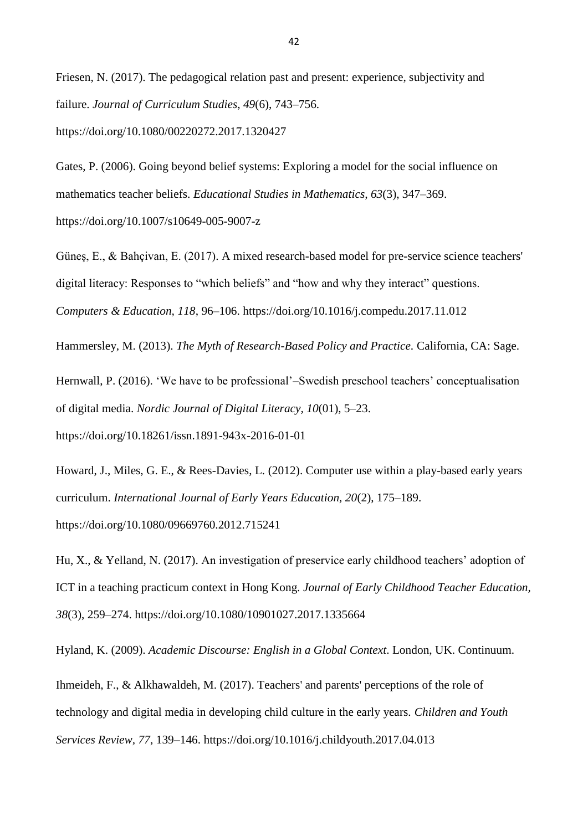Friesen, N. (2017). The pedagogical relation past and present: experience, subjectivity and failure. *Journal of Curriculum Studies*, *49*(6), 743–756. https://doi.org/10.1080/00220272.2017.1320427

Gates, P. (2006). Going beyond belief systems: Exploring a model for the social influence on mathematics teacher beliefs. *Educational Studies in Mathematics, 63*(3), 347–369. https://doi.org/10.1007/s10649-005-9007-z

Güneş, E., & Bahçivan, E. (2017). A mixed research-based model for pre-service science teachers' digital literacy: Responses to "which beliefs" and "how and why they interact" questions. *Computers & Education, 118*, 96–106. https://doi.org/10.1016/j.compedu.2017.11.012

Hammersley, M. (2013). *The Myth of Research-Based Policy and Practice.* California, CA: Sage.

Hernwall, P. (2016). 'We have to be professional'–Swedish preschool teachers' conceptualisation of digital media. *Nordic Journal of Digital Literacy, 10*(01), 5–23. https://doi.org/10.18261/issn.1891-943x-2016-01-01

Howard, J., Miles, G. E., & Rees-Davies, L. (2012). Computer use within a play-based early years curriculum. *International Journal of Early Years Education, 20*(2), 175–189. https://doi.org/10.1080/09669760.2012.715241

Hu, X., & Yelland, N. (2017). An investigation of preservice early childhood teachers' adoption of ICT in a teaching practicum context in Hong Kong. *Journal of Early Childhood Teacher Education, 38*(3), 259–274. https://doi.org/10.1080/10901027.2017.1335664

Hyland, K. (2009). *Academic Discourse: English in a Global Context*. London, UK. Continuum.

Ihmeideh, F., & Alkhawaldeh, M. (2017). Teachers' and parents' perceptions of the role of technology and digital media in developing child culture in the early years. *Children and Youth Services Review, 77*, 139–146. https://doi.org/10.1016/j.childyouth.2017.04.013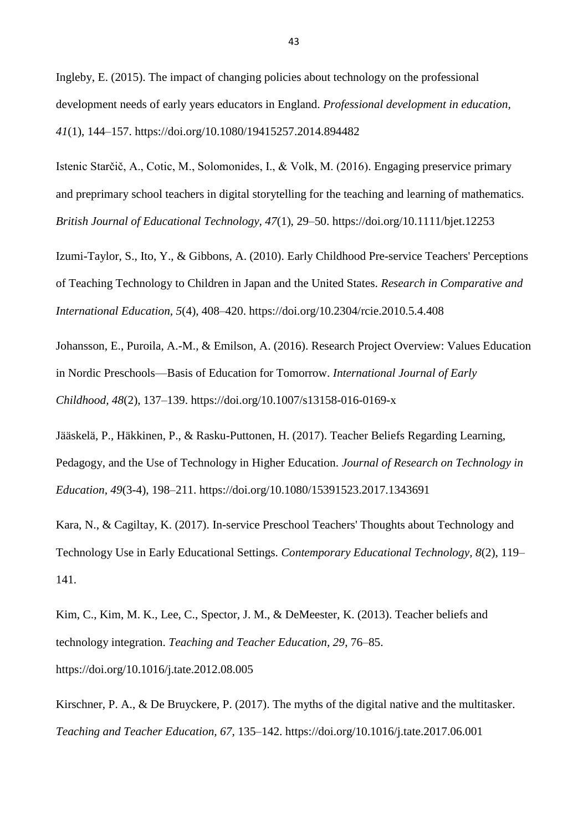Ingleby, E. (2015). The impact of changing policies about technology on the professional development needs of early years educators in England. *Professional development in education, 41*(1), 144–157. https://doi.org/10.1080/19415257.2014.894482

Istenic Starčič, A., Cotic, M., Solomonides, I., & Volk, M. (2016). Engaging preservice primary and preprimary school teachers in digital storytelling for the teaching and learning of mathematics. *British Journal of Educational Technology, 47*(1), 29–50. https://doi.org/10.1111/bjet.12253

Izumi-Taylor, S., Ito, Y., & Gibbons, A. (2010). Early Childhood Pre-service Teachers' Perceptions of Teaching Technology to Children in Japan and the United States. *Research in Comparative and International Education, 5*(4), 408–420. https://doi.org/10.2304/rcie.2010.5.4.408

Johansson, E., Puroila, A.-M., & Emilson, A. (2016). Research Project Overview: Values Education in Nordic Preschools—Basis of Education for Tomorrow. *International Journal of Early Childhood, 48*(2), 137–139. https://doi.org/10.1007/s13158-016-0169-x

Jääskelä, P., Häkkinen, P., & Rasku-Puttonen, H. (2017). Teacher Beliefs Regarding Learning, Pedagogy, and the Use of Technology in Higher Education. *Journal of Research on Technology in Education, 49*(3-4), 198–211. https://doi.org/10.1080/15391523.2017.1343691

Kara, N., & Cagiltay, K. (2017). In-service Preschool Teachers' Thoughts about Technology and Technology Use in Early Educational Settings. *Contemporary Educational Technology, 8*(2), 119– 141.

Kim, C., Kim, M. K., Lee, C., Spector, J. M., & DeMeester, K. (2013). Teacher beliefs and technology integration. *Teaching and Teacher Education, 29*, 76–85. https://doi.org/10.1016/j.tate.2012.08.005

Kirschner, P. A., & De Bruyckere, P. (2017). The myths of the digital native and the multitasker. *Teaching and Teacher Education, 67*, 135–142. https://doi.org/10.1016/j.tate.2017.06.001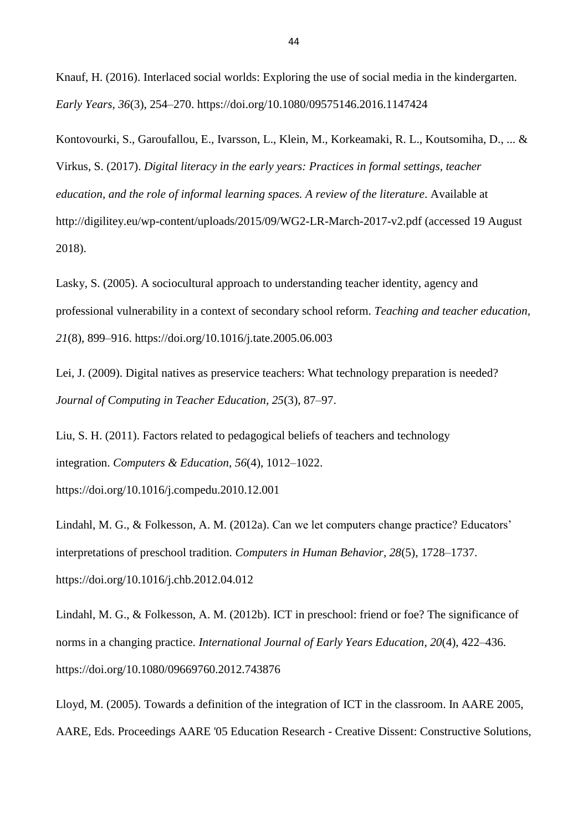Knauf, H. (2016). Interlaced social worlds: Exploring the use of social media in the kindergarten. *Early Years, 36*(3), 254–270. https://doi.org/10.1080/09575146.2016.1147424

Kontovourki, S., Garoufallou, E., Ivarsson, L., Klein, M., Korkeamaki, R. L., Koutsomiha, D., ... & Virkus, S. (2017). *Digital literacy in the early years: Practices in formal settings, teacher education, and the role of informal learning spaces. A review of the literature*. Available at http://digilitey.eu/wp-content/uploads/2015/09/WG2-LR-March-2017-v2.pdf (accessed 19 August 2018).

Lasky, S. (2005). A sociocultural approach to understanding teacher identity, agency and professional vulnerability in a context of secondary school reform. *Teaching and teacher education, 21*(8), 899–916. https://doi.org/10.1016/j.tate.2005.06.003

Lei, J. (2009). Digital natives as preservice teachers: What technology preparation is needed? *Journal of Computing in Teacher Education, 25*(3), 87–97.

Liu, S. H. (2011). Factors related to pedagogical beliefs of teachers and technology integration. *Computers & Education*, *56*(4), 1012–1022. https://doi.org/10.1016/j.compedu.2010.12.001

Lindahl, M. G., & Folkesson, A. M. (2012a). Can we let computers change practice? Educators' interpretations of preschool tradition. *Computers in Human Behavior, 28*(5), 1728–1737. https://doi.org/10.1016/j.chb.2012.04.012

Lindahl, M. G., & Folkesson, A. M. (2012b). ICT in preschool: friend or foe? The significance of norms in a changing practice. *International Journal of Early Years Education*, *20*(4), 422–436. https://doi.org/10.1080/09669760.2012.743876

Lloyd, M. (2005). Towards a definition of the integration of ICT in the classroom. In AARE 2005, AARE, Eds. Proceedings AARE '05 Education Research - Creative Dissent: Constructive Solutions,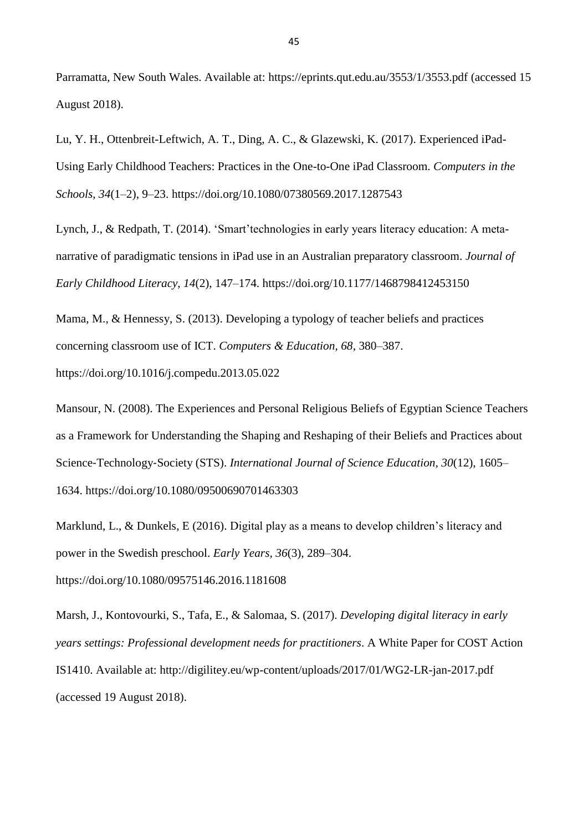Parramatta, New South Wales. Available at: https://eprints.qut.edu.au/3553/1/3553.pdf (accessed 15 August 2018).

Lu, Y. H., Ottenbreit-Leftwich, A. T., Ding, A. C., & Glazewski, K. (2017). Experienced iPad-Using Early Childhood Teachers: Practices in the One-to-One iPad Classroom. *Computers in the Schools*, *34*(1–2), 9–23. https://doi.org/10.1080/07380569.2017.1287543

Lynch, J., & Redpath, T. (2014). 'Smart'technologies in early years literacy education: A metanarrative of paradigmatic tensions in iPad use in an Australian preparatory classroom. *Journal of Early Childhood Literacy, 14*(2), 147–174. https://doi.org/10.1177/1468798412453150

Mama, M., & Hennessy, S. (2013). Developing a typology of teacher beliefs and practices concerning classroom use of ICT. *Computers & Education, 68*, 380–387.

https://doi.org/10.1016/j.compedu.2013.05.022

Mansour, N. (2008). The Experiences and Personal Religious Beliefs of Egyptian Science Teachers as a Framework for Understanding the Shaping and Reshaping of their Beliefs and Practices about Science‐Technology‐Society (STS). *International Journal of Science Education, 30*(12), 1605– 1634. https://doi.org/10.1080/09500690701463303

Marklund, L., & Dunkels, E (2016). Digital play as a means to develop children's literacy and power in the Swedish preschool. *Early Years, 36*(3), 289–304. https://doi.org/10.1080/09575146.2016.1181608

Marsh, J., Kontovourki, S., Tafa, E., & Salomaa, S. (2017). *Developing digital literacy in early years settings: Professional development needs for practitioners*. A White Paper for COST Action IS1410. Available at: http://digilitey.eu/wp-content/uploads/2017/01/WG2-LR-jan-2017.pdf (accessed 19 August 2018).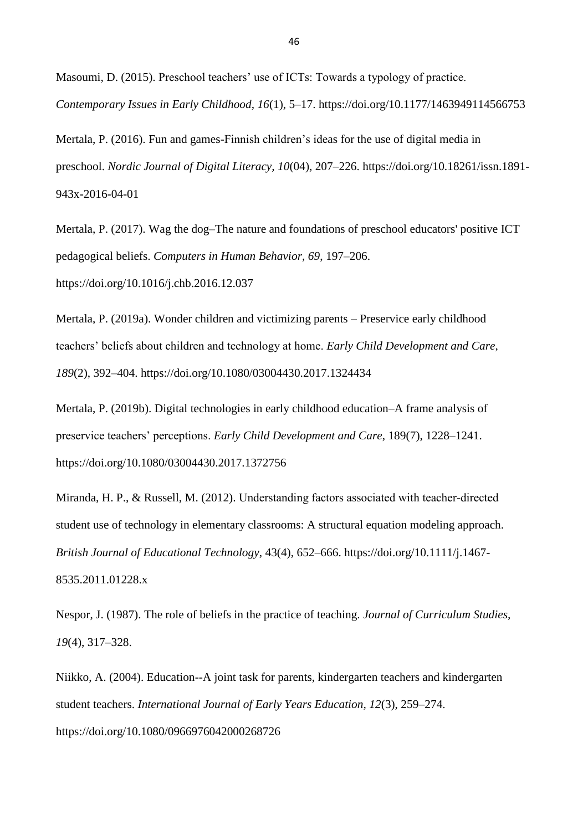Masoumi, D. (2015). Preschool teachers' use of ICTs: Towards a typology of practice. *Contemporary Issues in Early Childhood, 16*(1), 5–17. https://doi.org/10.1177/1463949114566753

Mertala, P. (2016). Fun and games-Finnish children's ideas for the use of digital media in preschool. *Nordic Journal of Digital Literacy, 10*(04), 207–226. https://doi.org/10.18261/issn.1891- 943x-2016-04-01

Mertala, P. (2017). Wag the dog–The nature and foundations of preschool educators' positive ICT pedagogical beliefs. *Computers in Human Behavior, 69*, 197–206. https://doi.org/10.1016/j.chb.2016.12.037

Mertala, P. (2019a). Wonder children and victimizing parents – Preservice early childhood teachers' beliefs about children and technology at home. *Early Child Development and Care*, *189*(2), 392–404. https://doi.org/10.1080/03004430.2017.1324434

Mertala, P. (2019b). Digital technologies in early childhood education–A frame analysis of preservice teachers' perceptions. *Early Child Development and Care*, 189(7), 1228–1241. https://doi.org/10.1080/03004430.2017.1372756

Miranda, H. P., & Russell, M. (2012). Understanding factors associated with teacher-directed student use of technology in elementary classrooms: A structural equation modeling approach. *British Journal of Educational Technology*, 43(4), 652–666. https://doi.org/10.1111/j.1467- 8535.2011.01228.x

Nespor, J. (1987). The role of beliefs in the practice of teaching. *Journal of Curriculum Studies, 19*(4), 317–328.

Niikko, A. (2004). Education--A joint task for parents, kindergarten teachers and kindergarten student teachers. *International Journal of Early Years Education, 12*(3), 259–274. https://doi.org/10.1080/0966976042000268726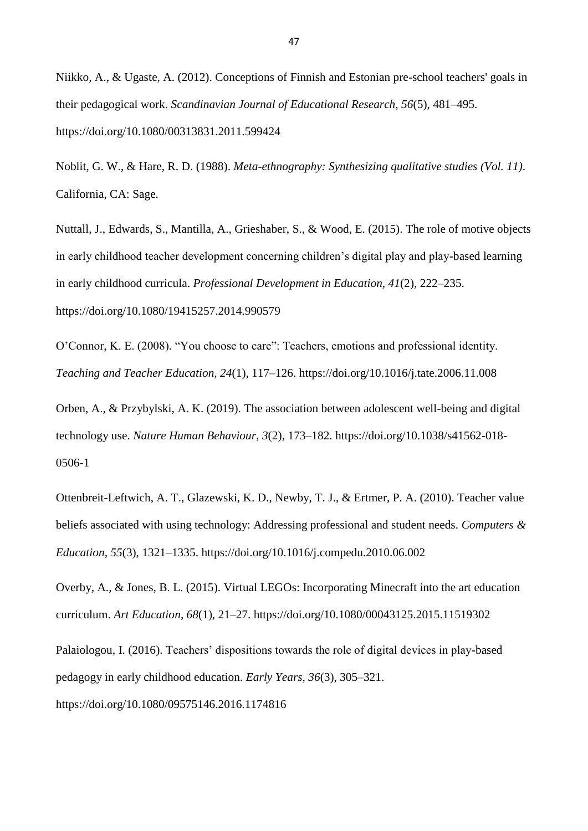Niikko, A., & Ugaste, A. (2012). Conceptions of Finnish and Estonian pre-school teachers' goals in their pedagogical work. *Scandinavian Journal of Educational Research, 56*(5), 481–495. https://doi.org/10.1080/00313831.2011.599424

Noblit, G. W., & Hare, R. D. (1988). *Meta-ethnography: Synthesizing qualitative studies (Vol. 11)*. California, CA: Sage.

Nuttall, J., Edwards, S., Mantilla, A., Grieshaber, S., & Wood, E. (2015). The role of motive objects in early childhood teacher development concerning children's digital play and play-based learning in early childhood curricula. *Professional Development in Education, 41*(2), 222–235. https://doi.org/10.1080/19415257.2014.990579

O'Connor, K. E. (2008). "You choose to care": Teachers, emotions and professional identity. *Teaching and Teacher Education, 24*(1), 117–126. https://doi.org/10.1016/j.tate.2006.11.008

Orben, A., & Przybylski, A. K. (2019). The association between adolescent well-being and digital technology use. *Nature Human Behaviour*, *3*(2), 173–182. https://doi.org/10.1038/s41562-018- 0506-1

Ottenbreit-Leftwich, A. T., Glazewski, K. D., Newby, T. J., & Ertmer, P. A. (2010). Teacher value beliefs associated with using technology: Addressing professional and student needs. *Computers & Education, 55*(3), 1321–1335. https://doi.org/10.1016/j.compedu.2010.06.002

Overby, A., & Jones, B. L. (2015). Virtual LEGOs: Incorporating Minecraft into the art education curriculum. *Art Education, 68*(1), 21–27. https://doi.org/10.1080/00043125.2015.11519302

Palaiologou, I. (2016). Teachers' dispositions towards the role of digital devices in play-based pedagogy in early childhood education. *Early Years, 36*(3), 305–321. https://doi.org/10.1080/09575146.2016.1174816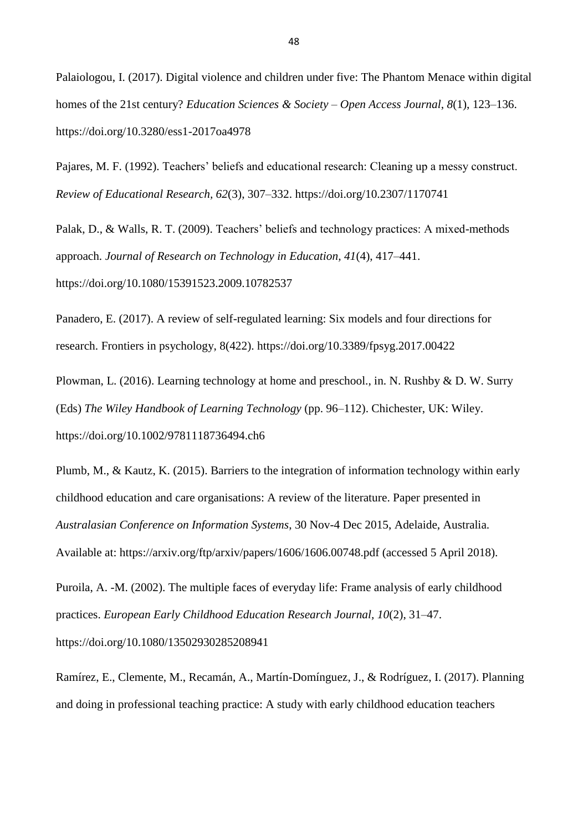Palaiologou, I. (2017). Digital violence and children under five: The Phantom Menace within digital homes of the 21st century? *Education Sciences & Society – Open Access Journal*, *8*(1), 123–136. https://doi.org/10.3280/ess1-2017oa4978

Pajares, M. F. (1992). Teachers' beliefs and educational research: Cleaning up a messy construct. *Review of Educational Research, 62*(3), 307–332. https://doi.org/10.2307/1170741

Palak, D., & Walls, R. T. (2009). Teachers' beliefs and technology practices: A mixed-methods approach. *Journal of Research on Technology in Education, 41*(4), 417–441. https://doi.org/10.1080/15391523.2009.10782537

Panadero, E. (2017). A review of self-regulated learning: Six models and four directions for research. Frontiers in psychology, 8(422). https://doi.org/10.3389/fpsyg.2017.00422

Plowman, L. (2016). Learning technology at home and preschool., in. N. Rushby & D. W. Surry (Eds) *The Wiley Handbook of Learning Technology* (pp. 96–112). Chichester, UK: Wiley. https://doi.org/10.1002/9781118736494.ch6

Plumb, M., & Kautz, K. (2015). Barriers to the integration of information technology within early childhood education and care organisations: A review of the literature. Paper presented in *Australasian Conference on Information Systems*, 30 Nov-4 Dec 2015, Adelaide, Australia. Available at: https://arxiv.org/ftp/arxiv/papers/1606/1606.00748.pdf (accessed 5 April 2018).

Puroila, A. -M. (2002). The multiple faces of everyday life: Frame analysis of early childhood practices. *European Early Childhood Education Research Journal, 10*(2), 31–47. https://doi.org/10.1080/13502930285208941

Ramírez, E., Clemente, M., Recamán, A., Martín-Domínguez, J., & Rodríguez, I. (2017). Planning and doing in professional teaching practice: A study with early childhood education teachers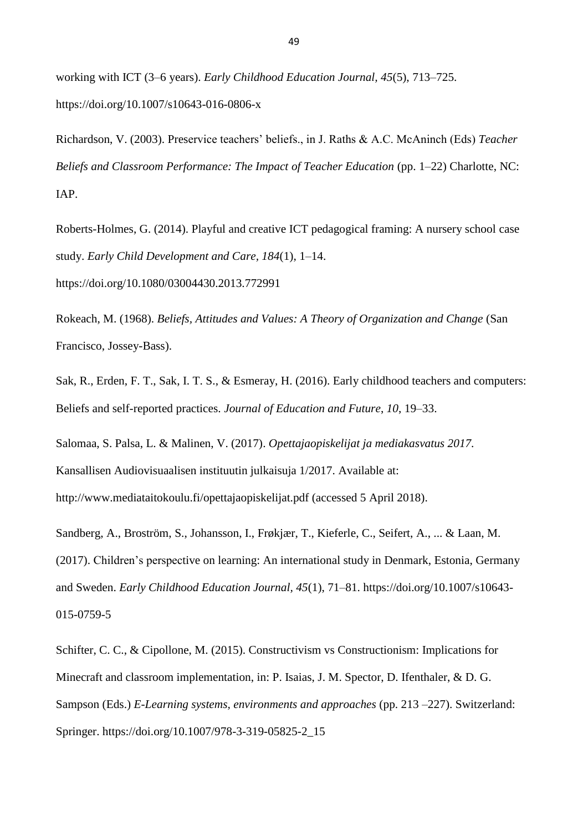working with ICT (3–6 years). *Early Childhood Education Journal, 45*(5), 713–725. https://doi.org/10.1007/s10643-016-0806-x

Richardson, V. (2003). Preservice teachers' beliefs., in J. Raths & A.C. McAninch (Eds) *Teacher Beliefs and Classroom Performance: The Impact of Teacher Education* (pp. 1–22) Charlotte, NC: IAP.

Roberts-Holmes, G. (2014). Playful and creative ICT pedagogical framing: A nursery school case study. *Early Child Development and Care, 184*(1), 1–14. https://doi.org/10.1080/03004430.2013.772991

Rokeach, M. (1968). *Beliefs, Attitudes and Values: A Theory of Organization and Change* (San Francisco, Jossey-Bass).

Sak, R., Erden, F. T., Sak, I. T. S., & Esmeray, H. (2016). Early childhood teachers and computers: Beliefs and self-reported practices. *Journal of Education and Future*, *10*, 19–33.

Salomaa, S. Palsa, L. & Malinen, V. (2017). *Opettajaopiskelijat ja mediakasvatus 2017.* Kansallisen Audiovisuaalisen instituutin julkaisuja 1/2017. Available at: http://www.mediataitokoulu.fi/opettajaopiskelijat.pdf (accessed 5 April 2018).

Sandberg, A., Broström, S., Johansson, I., Frøkjær, T., Kieferle, C., Seifert, A., ... & Laan, M. (2017). Children's perspective on learning: An international study in Denmark, Estonia, Germany and Sweden. *Early Childhood Education Journal, 45*(1), 71–81. https://doi.org/10.1007/s10643- 015-0759-5

Schifter, C. C., & Cipollone, M. (2015). Constructivism vs Constructionism: Implications for Minecraft and classroom implementation, in: P. Isaias, J. M. Spector, D. Ifenthaler, & D. G. Sampson (Eds.) *E-Learning systems, environments and approaches* (pp. 213 –227). Switzerland: Springer. https://doi.org/10.1007/978-3-319-05825-2\_15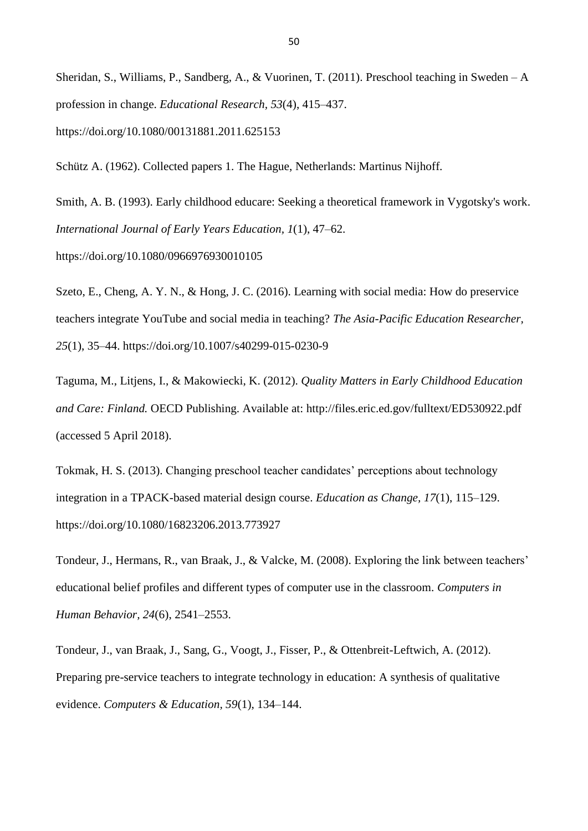Sheridan, S., Williams, P., Sandberg, A., & Vuorinen, T. (2011). Preschool teaching in Sweden – A profession in change. *Educational Research, 53*(4), 415–437. https://doi.org/10.1080/00131881.2011.625153

Schütz A. (1962). Collected papers 1. The Hague, Netherlands: Martinus Nijhoff.

Smith, A. B. (1993). Early childhood educare: Seeking a theoretical framework in Vygotsky's work. *International Journal of Early Years Education, 1*(1), 47–62.

https://doi.org/10.1080/0966976930010105

Szeto, E., Cheng, A. Y. N., & Hong, J. C. (2016). Learning with social media: How do preservice teachers integrate YouTube and social media in teaching? *The Asia-Pacific Education Researcher, 25*(1), 35–44. https://doi.org/10.1007/s40299-015-0230-9

Taguma, M., Litjens, I., & Makowiecki, K. (2012). *Quality Matters in Early Childhood Education and Care: Finland.* OECD Publishing. Available at: http://files.eric.ed.gov/fulltext/ED530922.pdf (accessed 5 April 2018).

Tokmak, H. S. (2013). Changing preschool teacher candidates' perceptions about technology integration in a TPACK-based material design course. *Education as Change, 17*(1), 115–129. https://doi.org/10.1080/16823206.2013.773927

Tondeur, J., Hermans, R., van Braak, J., & Valcke, M. (2008). Exploring the link between teachers' educational belief profiles and different types of computer use in the classroom. *Computers in Human Behavior, 24*(6), 2541–2553.

Tondeur, J., van Braak, J., Sang, G., Voogt, J., Fisser, P., & Ottenbreit-Leftwich, A. (2012). Preparing pre-service teachers to integrate technology in education: A synthesis of qualitative evidence. *Computers & Education, 59*(1), 134–144.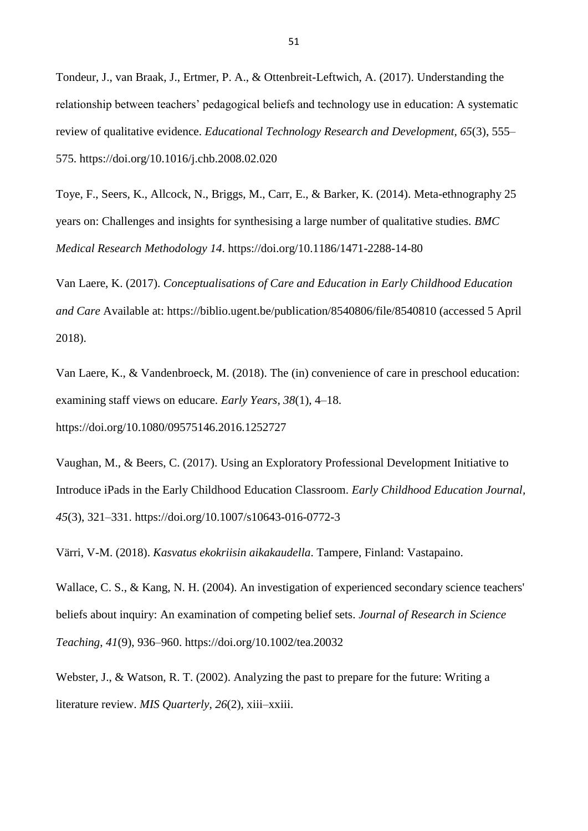Tondeur, J., van Braak, J., Ertmer, P. A., & Ottenbreit-Leftwich, A. (2017). Understanding the relationship between teachers' pedagogical beliefs and technology use in education: A systematic review of qualitative evidence. *Educational Technology Research and Development, 65*(3), 555– 575. https://doi.org/10.1016/j.chb.2008.02.020

Toye, F., Seers, K., Allcock, N., Briggs, M., Carr, E., & Barker, K. (2014). Meta-ethnography 25 years on: Challenges and insights for synthesising a large number of qualitative studies. *BMC Medical Research Methodology 14*. https://doi.org/10.1186/1471-2288-14-80

Van Laere, K. (2017). *Conceptualisations of Care and Education in Early Childhood Education and Care* Available at: https://biblio.ugent.be/publication/8540806/file/8540810 (accessed 5 April 2018).

Van Laere, K., & Vandenbroeck, M. (2018). The (in) convenience of care in preschool education: examining staff views on educare. *Early Years, 38*(1), 4–18. https://doi.org/10.1080/09575146.2016.1252727

Vaughan, M., & Beers, C. (2017). Using an Exploratory Professional Development Initiative to Introduce iPads in the Early Childhood Education Classroom. *Early Childhood Education Journal, 45*(3), 321–331. https://doi.org/10.1007/s10643-016-0772-3

Värri, V-M. (2018). *Kasvatus ekokriisin aikakaudella*. Tampere, Finland: Vastapaino.

Wallace, C. S., & Kang, N. H. (2004). An investigation of experienced secondary science teachers' beliefs about inquiry: An examination of competing belief sets. *Journal of Research in Science Teaching*, *41*(9), 936–960. https://doi.org/10.1002/tea.20032

Webster, J., & Watson, R. T. (2002). Analyzing the past to prepare for the future: Writing a literature review. *MIS Quarterly*, *26*(2), xiii–xxiii.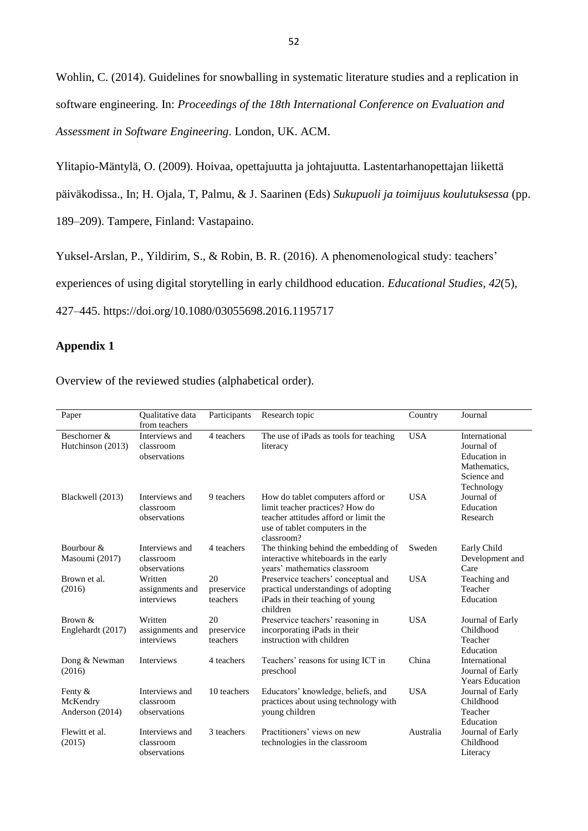Wohlin, C. (2014). Guidelines for snowballing in systematic literature studies and a replication in software engineering. In: *Proceedings of the 18th International Conference on Evaluation and Assessment in Software Engineering*. London, UK. ACM.

Ylitapio-Mäntylä, O. (2009). Hoivaa, opettajuutta ja johtajuutta. Lastentarhanopettajan liikettä päiväkodissa., In; H. Ojala, T, Palmu, & J. Saarinen (Eds) *Sukupuoli ja toimijuus koulutuksessa* (pp. 189–209). Tampere, Finland: Vastapaino.

Yuksel-Arslan, P., Yildirim, S., & Robin, B. R. (2016). A phenomenological study: teachers' experiences of using digital storytelling in early childhood education. *Educational Studies, 42*(5), 427–445. https://doi.org/10.1080/03055698.2016.1195717

# **Appendix 1**

Overview of the reviewed studies (alphabetical order).

| Paper                                    | <b>Oualitative</b> data<br>from teachers    | Participants                 | Research topic                                                                                                                                                | Country    | Journal                                                                                         |
|------------------------------------------|---------------------------------------------|------------------------------|---------------------------------------------------------------------------------------------------------------------------------------------------------------|------------|-------------------------------------------------------------------------------------------------|
| Beschorner &<br>Hutchinson (2013)        | Interviews and<br>classroom<br>observations | 4 teachers                   | The use of iPads as tools for teaching<br>literacy                                                                                                            | <b>USA</b> | International<br>Journal of<br><b>Education</b> in<br>Mathematics,<br>Science and<br>Technology |
| Blackwell (2013)                         | Interviews and<br>classroom<br>observations | 9 teachers                   | How do tablet computers afford or<br>limit teacher practices? How do<br>teacher attitudes afford or limit the<br>use of tablet computers in the<br>classroom? | <b>USA</b> | Journal of<br>Education<br>Research                                                             |
| Bourbour &<br>Masoumi (2017)             | Interviews and<br>classroom<br>observations | 4 teachers                   | The thinking behind the embedding of<br>interactive whiteboards in the early<br>years' mathematics classroom                                                  | Sweden     | Early Child<br>Development and<br>Care                                                          |
| Brown et al.<br>(2016)                   | Written<br>assignments and<br>interviews    | 20<br>preservice<br>teachers | Preservice teachers' conceptual and<br>practical understandings of adopting<br>iPads in their teaching of young<br>children                                   | <b>USA</b> | Teaching and<br>Teacher<br>Education                                                            |
| Brown &<br>Englehardt (2017)             | Written<br>assignments and<br>interviews    | 20<br>preservice<br>teachers | Preservice teachers' reasoning in<br>incorporating iPads in their<br>instruction with children                                                                | <b>USA</b> | Journal of Early<br>Childhood<br>Teacher<br>Education                                           |
| Dong & Newman<br>(2016)                  | <b>Interviews</b>                           | 4 teachers                   | Teachers' reasons for using ICT in<br>preschool                                                                                                               | China      | International<br>Journal of Early<br><b>Years Education</b>                                     |
| Fenty $&$<br>McKendry<br>Anderson (2014) | Interviews and<br>classroom<br>observations | 10 teachers                  | Educators' knowledge, beliefs, and<br>practices about using technology with<br>young children                                                                 | <b>USA</b> | Journal of Early<br>Childhood<br>Teacher<br>Education                                           |
| Flewitt et al.<br>(2015)                 | Interviews and<br>classroom<br>observations | 3 teachers                   | Practitioners' views on new<br>technologies in the classroom                                                                                                  | Australia  | Journal of Early<br>Childhood<br>Literacy                                                       |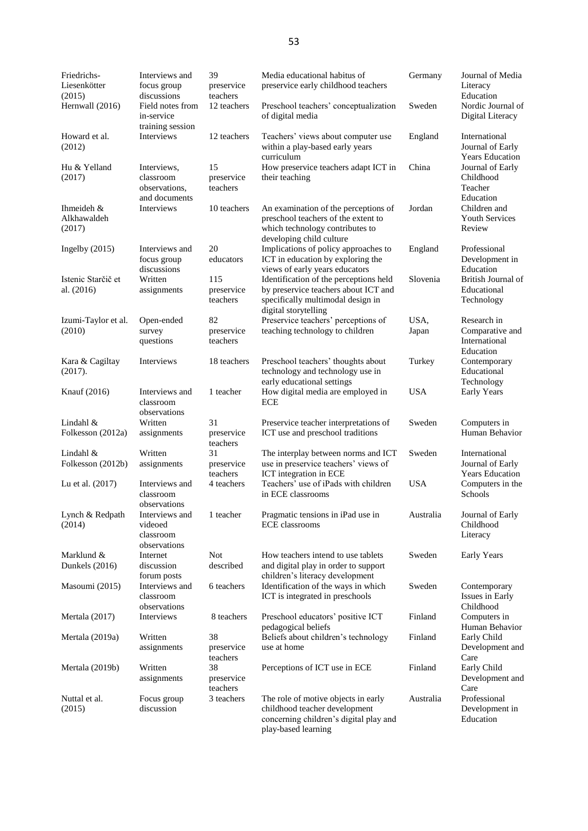| Friedrichs-<br>Liesenkötter<br>(2015) | Interviews and<br>focus group<br>discussions           | 39<br>preservice<br>teachers  | Media educational habitus of<br>preservice early childhood teachers                                                                         | Germany       | Journal of Media<br>Literacy<br>Education                    |
|---------------------------------------|--------------------------------------------------------|-------------------------------|---------------------------------------------------------------------------------------------------------------------------------------------|---------------|--------------------------------------------------------------|
| Hernwall (2016)                       | Field notes from<br>in-service<br>training session     | 12 teachers                   | Preschool teachers' conceptualization<br>of digital media                                                                                   | Sweden        | Nordic Journal of<br>Digital Literacy                        |
| Howard et al.<br>(2012)               | Interviews                                             | 12 teachers                   | Teachers' views about computer use<br>within a play-based early years<br>curriculum                                                         | England       | International<br>Journal of Early<br><b>Years Education</b>  |
| Hu & Yelland<br>(2017)                | Interviews,<br>classroom<br>observations,              | 15<br>preservice<br>teachers  | How preservice teachers adapt ICT in<br>their teaching                                                                                      | China         | Journal of Early<br>Childhood<br>Teacher                     |
| Ihmeideh &<br>Alkhawaldeh<br>(2017)   | and documents<br>Interviews                            | 10 teachers                   | An examination of the perceptions of<br>preschool teachers of the extent to<br>which technology contributes to<br>developing child culture  | Jordan        | Education<br>Children and<br><b>Youth Services</b><br>Review |
| Ingelby $(2015)$                      | Interviews and<br>focus group<br>discussions           | 20<br>educators               | Implications of policy approaches to<br>ICT in education by exploring the<br>views of early years educators                                 | England       | Professional<br>Development in<br>Education                  |
| Istenic Starčič et<br>al. (2016)      | Written<br>assignments                                 | 115<br>preservice<br>teachers | Identification of the perceptions held<br>by preservice teachers about ICT and<br>specifically multimodal design in<br>digital storytelling | Slovenia      | British Journal of<br>Educational<br>Technology              |
| Izumi-Taylor et al.<br>(2010)         | Open-ended<br>survey<br>questions                      | 82<br>preservice<br>teachers  | Preservice teachers' perceptions of<br>teaching technology to children                                                                      | USA.<br>Japan | Research in<br>Comparative and<br>International<br>Education |
| Kara & Cagiltay<br>(2017).            | Interviews                                             | 18 teachers                   | Preschool teachers' thoughts about<br>technology and technology use in<br>early educational settings                                        | Turkey        | Contemporary<br>Educational<br>Technology                    |
| Knauf (2016)                          | Interviews and<br>classroom<br>observations            | 1 teacher                     | How digital media are employed in<br><b>ECE</b>                                                                                             | <b>USA</b>    | Early Years                                                  |
| Lindahl $\&$                          | Written                                                | 31                            | Preservice teacher interpretations of                                                                                                       | Sweden        | Computers in                                                 |
| Folkesson (2012a)                     | assignments                                            | preservice<br>teachers        | ICT use and preschool traditions                                                                                                            |               | Human Behavior                                               |
| Lindahl &<br>Folkesson (2012b)        | Written<br>assignments                                 | 31<br>preservice<br>teachers  | The interplay between norms and ICT<br>use in preservice teachers' views of<br>ICT integration in ECE                                       | Sweden        | International<br>Journal of Early<br><b>Years Education</b>  |
| Lu et al. (2017)                      | Interviews and<br>classroom<br>observations            | 4 teachers                    | Teachers' use of iPads with children<br>in ECE classrooms                                                                                   | <b>USA</b>    | Computers in the<br>Schools                                  |
| Lynch & Redpath<br>(2014)             | Interviews and<br>videoed<br>classroom<br>observations | 1 teacher                     | Pragmatic tensions in iPad use in<br><b>ECE</b> classrooms                                                                                  | Australia     | Journal of Early<br>Childhood<br>Literacy                    |
| Marklund &<br>Dunkels (2016)          | Internet<br>discussion<br>forum posts                  | Not<br>described              | How teachers intend to use tablets<br>and digital play in order to support<br>children's literacy development                               | Sweden        | <b>Early Years</b>                                           |
| Masoumi (2015)                        | Interviews and<br>classroom<br>observations            | 6 teachers                    | Identification of the ways in which<br>ICT is integrated in preschools                                                                      | Sweden        | Contemporary<br>Issues in Early<br>Childhood                 |
| Mertala (2017)                        | Interviews                                             | 8 teachers                    | Preschool educators' positive ICT<br>pedagogical beliefs                                                                                    | Finland       | Computers in<br>Human Behavior                               |
| Mertala (2019a)                       | Written<br>assignments                                 | 38<br>preservice<br>teachers  | Beliefs about children's technology<br>use at home                                                                                          | Finland       | Early Child<br>Development and<br>Care                       |
| Mertala (2019b)                       | Written<br>assignments                                 | 38<br>preservice<br>teachers  | Perceptions of ICT use in ECE                                                                                                               | Finland       | Early Child<br>Development and<br>Care                       |
| Nuttal et al.<br>(2015)               | Focus group<br>discussion                              | 3 teachers                    | The role of motive objects in early<br>childhood teacher development<br>concerning children's digital play and<br>play-based learning       | Australia     | Professional<br>Development in<br>Education                  |